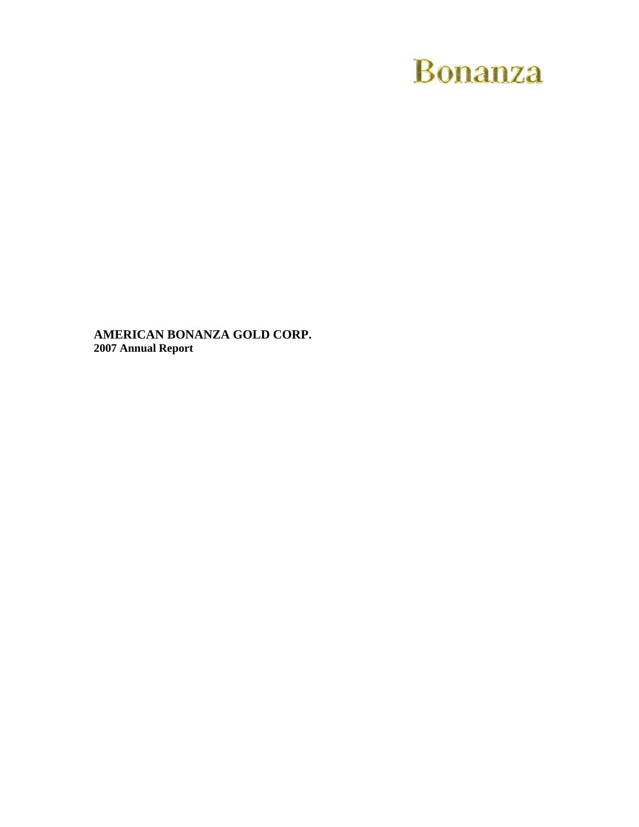# **Bonanza**

**AMERICAN BONANZA GOLD CORP. 2007 Annual Report**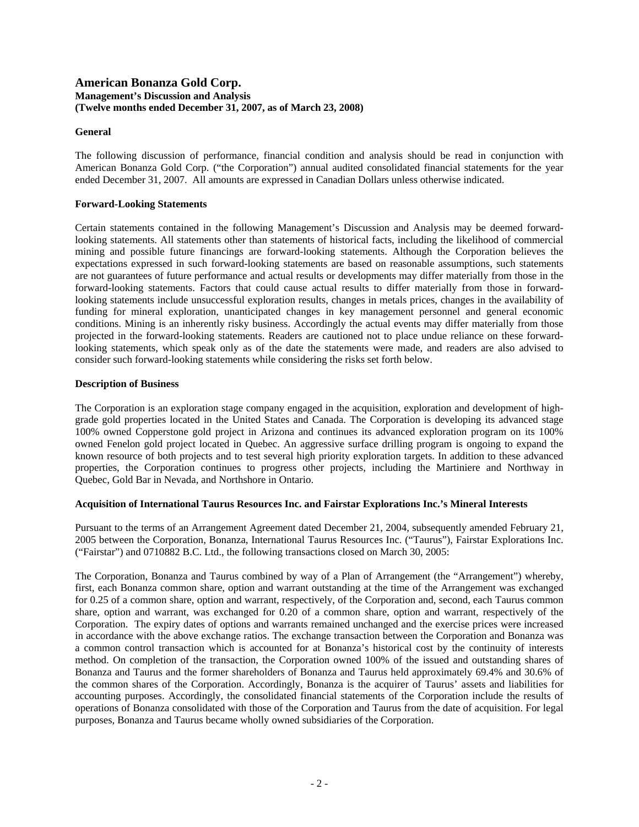### **American Bonanza Gold Corp. Management's Discussion and Analysis (Twelve months ended December 31, 2007, as of March 23, 2008)**

### **General**

The following discussion of performance, financial condition and analysis should be read in conjunction with American Bonanza Gold Corp. ("the Corporation") annual audited consolidated financial statements for the year ended December 31, 2007. All amounts are expressed in Canadian Dollars unless otherwise indicated.

### **Forward-Looking Statements**

Certain statements contained in the following Management's Discussion and Analysis may be deemed forwardlooking statements. All statements other than statements of historical facts, including the likelihood of commercial mining and possible future financings are forward-looking statements. Although the Corporation believes the expectations expressed in such forward-looking statements are based on reasonable assumptions, such statements are not guarantees of future performance and actual results or developments may differ materially from those in the forward-looking statements. Factors that could cause actual results to differ materially from those in forwardlooking statements include unsuccessful exploration results, changes in metals prices, changes in the availability of funding for mineral exploration, unanticipated changes in key management personnel and general economic conditions. Mining is an inherently risky business. Accordingly the actual events may differ materially from those projected in the forward-looking statements. Readers are cautioned not to place undue reliance on these forwardlooking statements, which speak only as of the date the statements were made, and readers are also advised to consider such forward-looking statements while considering the risks set forth below.

### **Description of Business**

The Corporation is an exploration stage company engaged in the acquisition, exploration and development of highgrade gold properties located in the United States and Canada. The Corporation is developing its advanced stage 100% owned Copperstone gold project in Arizona and continues its advanced exploration program on its 100% owned Fenelon gold project located in Quebec. An aggressive surface drilling program is ongoing to expand the known resource of both projects and to test several high priority exploration targets. In addition to these advanced properties, the Corporation continues to progress other projects, including the Martiniere and Northway in Quebec, Gold Bar in Nevada, and Northshore in Ontario.

### **Acquisition of International Taurus Resources Inc. and Fairstar Explorations Inc.'s Mineral Interests**

Pursuant to the terms of an Arrangement Agreement dated December 21, 2004, subsequently amended February 21, 2005 between the Corporation, Bonanza, International Taurus Resources Inc. ("Taurus"), Fairstar Explorations Inc. ("Fairstar") and 0710882 B.C. Ltd., the following transactions closed on March 30, 2005:

The Corporation, Bonanza and Taurus combined by way of a Plan of Arrangement (the "Arrangement") whereby, first, each Bonanza common share, option and warrant outstanding at the time of the Arrangement was exchanged for 0.25 of a common share, option and warrant, respectively, of the Corporation and, second, each Taurus common share, option and warrant, was exchanged for 0.20 of a common share, option and warrant, respectively of the Corporation. The expiry dates of options and warrants remained unchanged and the exercise prices were increased in accordance with the above exchange ratios. The exchange transaction between the Corporation and Bonanza was a common control transaction which is accounted for at Bonanza's historical cost by the continuity of interests method. On completion of the transaction, the Corporation owned 100% of the issued and outstanding shares of Bonanza and Taurus and the former shareholders of Bonanza and Taurus held approximately 69.4% and 30.6% of the common shares of the Corporation. Accordingly, Bonanza is the acquirer of Taurus' assets and liabilities for accounting purposes. Accordingly, the consolidated financial statements of the Corporation include the results of operations of Bonanza consolidated with those of the Corporation and Taurus from the date of acquisition. For legal purposes, Bonanza and Taurus became wholly owned subsidiaries of the Corporation.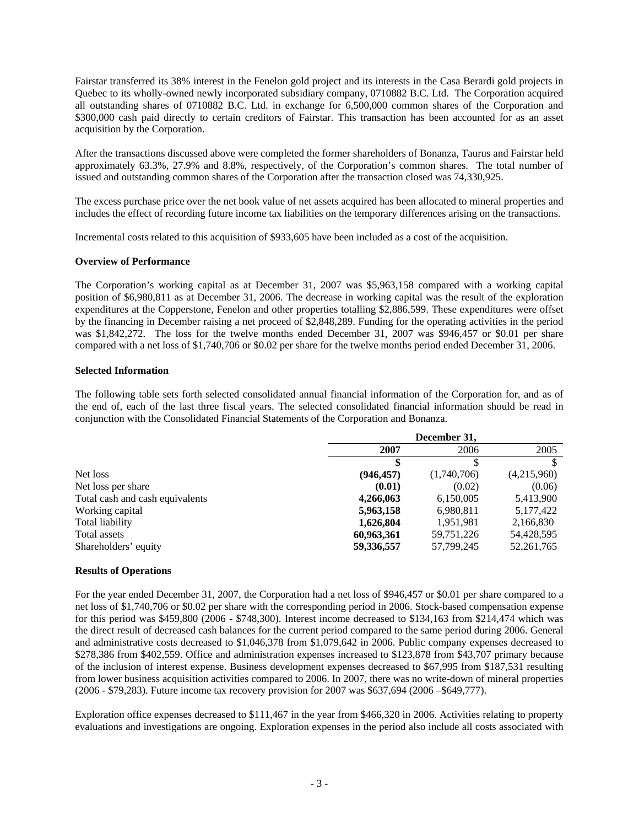Fairstar transferred its 38% interest in the Fenelon gold project and its interests in the Casa Berardi gold projects in Quebec to its wholly-owned newly incorporated subsidiary company, 0710882 B.C. Ltd. The Corporation acquired all outstanding shares of 0710882 B.C. Ltd. in exchange for 6,500,000 common shares of the Corporation and \$300,000 cash paid directly to certain creditors of Fairstar. This transaction has been accounted for as an asset acquisition by the Corporation.

After the transactions discussed above were completed the former shareholders of Bonanza, Taurus and Fairstar held approximately 63.3%, 27.9% and 8.8%, respectively, of the Corporation's common shares. The total number of issued and outstanding common shares of the Corporation after the transaction closed was 74,330,925.

The excess purchase price over the net book value of net assets acquired has been allocated to mineral properties and includes the effect of recording future income tax liabilities on the temporary differences arising on the transactions.

Incremental costs related to this acquisition of \$933,605 have been included as a cost of the acquisition.

### **Overview of Performance**

The Corporation's working capital as at December 31, 2007 was \$5,963,158 compared with a working capital position of \$6,980,811 as at December 31, 2006. The decrease in working capital was the result of the exploration expenditures at the Copperstone, Fenelon and other properties totalling \$2,886,599. These expenditures were offset by the financing in December raising a net proceed of \$2,848,289. Funding for the operating activities in the period was \$1,842,272. The loss for the twelve months ended December 31, 2007 was \$946,457 or \$0.01 per share compared with a net loss of \$1,740,706 or \$0.02 per share for the twelve months period ended December 31, 2006.

### **Selected Information**

The following table sets forth selected consolidated annual financial information of the Corporation for, and as of the end of, each of the last three fiscal years. The selected consolidated financial information should be read in conjunction with the Consolidated Financial Statements of the Corporation and Bonanza.

|                                 | December 31, |             |              |  |
|---------------------------------|--------------|-------------|--------------|--|
|                                 | 2007         | 2006        | 2005         |  |
|                                 |              |             |              |  |
| Net loss                        | (946, 457)   | (1,740,706) | (4,215,960)  |  |
| Net loss per share              | (0.01)       | (0.02)      | (0.06)       |  |
| Total cash and cash equivalents | 4,266,063    | 6,150,005   | 5,413,900    |  |
| Working capital                 | 5,963,158    | 6,980,811   | 5,177,422    |  |
| Total liability                 | 1,626,804    | 1,951,981   | 2,166,830    |  |
| Total assets                    | 60,963,361   | 59,751,226  | 54,428,595   |  |
| Shareholders' equity            | 59,336,557   | 57,799,245  | 52, 261, 765 |  |

### **Results of Operations**

For the year ended December 31, 2007, the Corporation had a net loss of \$946,457 or \$0.01 per share compared to a net loss of \$1,740,706 or \$0.02 per share with the corresponding period in 2006. Stock-based compensation expense for this period was \$459,800 (2006 - \$748,300). Interest income decreased to \$134,163 from \$214,474 which was the direct result of decreased cash balances for the current period compared to the same period during 2006. General and administrative costs decreased to \$1,046,378 from \$1,079,642 in 2006. Public company expenses decreased to \$278,386 from \$402,559. Office and administration expenses increased to \$123,878 from \$43,707 primary because of the inclusion of interest expense. Business development expenses decreased to \$67,995 from \$187,531 resulting from lower business acquisition activities compared to 2006. In 2007, there was no write-down of mineral properties (2006 - \$79,283). Future income tax recovery provision for 2007 was \$637,694 (2006 –\$649,777).

Exploration office expenses decreased to \$111,467 in the year from \$466,320 in 2006. Activities relating to property evaluations and investigations are ongoing. Exploration expenses in the period also include all costs associated with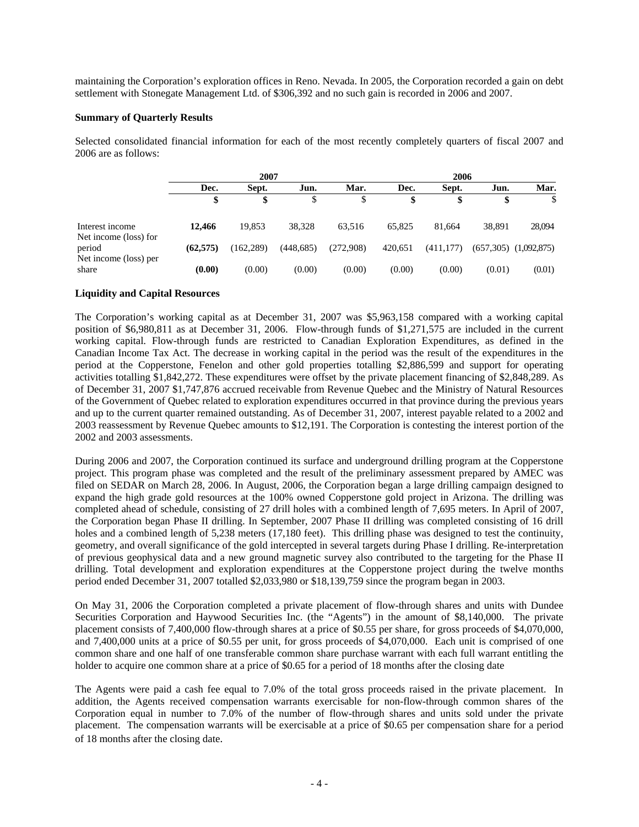maintaining the Corporation's exploration offices in Reno. Nevada. In 2005, the Corporation recorded a gain on debt settlement with Stonegate Management Ltd. of \$306,392 and no such gain is recorded in 2006 and 2007.

### **Summary of Quarterly Results**

Selected consolidated financial information for each of the most recently completely quarters of fiscal 2007 and 2006 are as follows:

|                                                          | 2007      |            |            |           | 2006    |            |        |                           |
|----------------------------------------------------------|-----------|------------|------------|-----------|---------|------------|--------|---------------------------|
|                                                          | Dec.      | Sept.      | Jun.       | Mar.      | Dec.    | Sept.      | Jun.   | Mar.                      |
|                                                          | \$        |            |            | S         | æ       | \$         |        |                           |
| Interest income                                          | 12,466    | 19,853     | 38,328     | 63.516    | 65.825  | 81.664     | 38.891 | 28,094                    |
| Net income (loss) for<br>period<br>Net income (loss) per | (62, 575) | (162, 289) | (448, 685) | (272,908) | 420,651 | (411, 177) |        | $(657,305)$ $(1,092,875)$ |
| share                                                    | (0.00)    | (0.00)     | (0.00)     | (0.00)    | (0.00)  | (0.00)     | (0.01) | (0.01)                    |

### **Liquidity and Capital Resources**

The Corporation's working capital as at December 31, 2007 was \$5,963,158 compared with a working capital position of \$6,980,811 as at December 31, 2006. Flow-through funds of \$1,271,575 are included in the current working capital. Flow-through funds are restricted to Canadian Exploration Expenditures, as defined in the Canadian Income Tax Act. The decrease in working capital in the period was the result of the expenditures in the period at the Copperstone, Fenelon and other gold properties totalling \$2,886,599 and support for operating activities totalling \$1,842,272. These expenditures were offset by the private placement financing of \$2,848,289. As of December 31, 2007 \$1,747,876 accrued receivable from Revenue Quebec and the Ministry of Natural Resources of the Government of Quebec related to exploration expenditures occurred in that province during the previous years and up to the current quarter remained outstanding. As of December 31, 2007, interest payable related to a 2002 and 2003 reassessment by Revenue Quebec amounts to \$12,191. The Corporation is contesting the interest portion of the 2002 and 2003 assessments.

During 2006 and 2007, the Corporation continued its surface and underground drilling program at the Copperstone project. This program phase was completed and the result of the preliminary assessment prepared by AMEC was filed on SEDAR on March 28, 2006. In August, 2006, the Corporation began a large drilling campaign designed to expand the high grade gold resources at the 100% owned Copperstone gold project in Arizona. The drilling was completed ahead of schedule, consisting of 27 drill holes with a combined length of 7,695 meters. In April of 2007, the Corporation began Phase II drilling. In September, 2007 Phase II drilling was completed consisting of 16 drill holes and a combined length of 5,238 meters (17,180 feet). This drilling phase was designed to test the continuity, geometry, and overall significance of the gold intercepted in several targets during Phase I drilling. Re-interpretation of previous geophysical data and a new ground magnetic survey also contributed to the targeting for the Phase II drilling. Total development and exploration expenditures at the Copperstone project during the twelve months period ended December 31, 2007 totalled \$2,033,980 or \$18,139,759 since the program began in 2003.

On May 31, 2006 the Corporation completed a private placement of flow-through shares and units with Dundee Securities Corporation and Haywood Securities Inc. (the "Agents") in the amount of \$8,140,000. The private placement consists of 7,400,000 flow-through shares at a price of \$0.55 per share, for gross proceeds of \$4,070,000, and 7,400,000 units at a price of \$0.55 per unit, for gross proceeds of \$4,070,000. Each unit is comprised of one common share and one half of one transferable common share purchase warrant with each full warrant entitling the holder to acquire one common share at a price of \$0.65 for a period of 18 months after the closing date

The Agents were paid a cash fee equal to 7.0% of the total gross proceeds raised in the private placement. In addition, the Agents received compensation warrants exercisable for non-flow-through common shares of the Corporation equal in number to 7.0% of the number of flow-through shares and units sold under the private placement. The compensation warrants will be exercisable at a price of \$0.65 per compensation share for a period of 18 months after the closing date.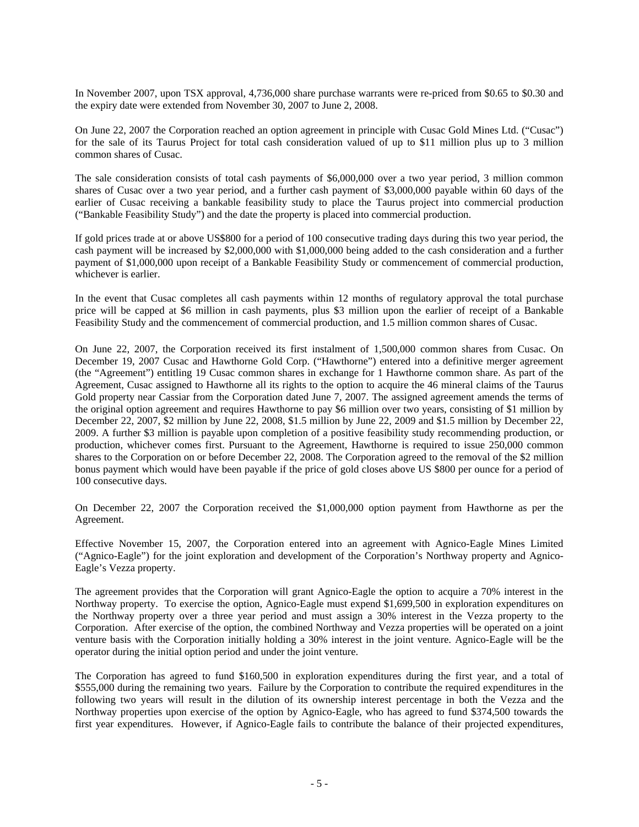In November 2007, upon TSX approval, 4,736,000 share purchase warrants were re-priced from \$0.65 to \$0.30 and the expiry date were extended from November 30, 2007 to June 2, 2008.

On June 22, 2007 the Corporation reached an option agreement in principle with Cusac Gold Mines Ltd. ("Cusac") for the sale of its Taurus Project for total cash consideration valued of up to \$11 million plus up to 3 million common shares of Cusac.

The sale consideration consists of total cash payments of \$6,000,000 over a two year period, 3 million common shares of Cusac over a two year period, and a further cash payment of \$3,000,000 payable within 60 days of the earlier of Cusac receiving a bankable feasibility study to place the Taurus project into commercial production ("Bankable Feasibility Study") and the date the property is placed into commercial production.

If gold prices trade at or above US\$800 for a period of 100 consecutive trading days during this two year period, the cash payment will be increased by \$2,000,000 with \$1,000,000 being added to the cash consideration and a further payment of \$1,000,000 upon receipt of a Bankable Feasibility Study or commencement of commercial production, whichever is earlier.

In the event that Cusac completes all cash payments within 12 months of regulatory approval the total purchase price will be capped at \$6 million in cash payments, plus \$3 million upon the earlier of receipt of a Bankable Feasibility Study and the commencement of commercial production, and 1.5 million common shares of Cusac.

On June 22, 2007, the Corporation received its first instalment of 1,500,000 common shares from Cusac. On December 19, 2007 Cusac and Hawthorne Gold Corp. ("Hawthorne") entered into a definitive merger agreement (the "Agreement") entitling 19 Cusac common shares in exchange for 1 Hawthorne common share. As part of the Agreement, Cusac assigned to Hawthorne all its rights to the option to acquire the 46 mineral claims of the Taurus Gold property near Cassiar from the Corporation dated June 7, 2007. The assigned agreement amends the terms of the original option agreement and requires Hawthorne to pay \$6 million over two years, consisting of \$1 million by December 22, 2007, \$2 million by June 22, 2008, \$1.5 million by June 22, 2009 and \$1.5 million by December 22, 2009. A further \$3 million is payable upon completion of a positive feasibility study recommending production, or production, whichever comes first. Pursuant to the Agreement, Hawthorne is required to issue 250,000 common shares to the Corporation on or before December 22, 2008. The Corporation agreed to the removal of the \$2 million bonus payment which would have been payable if the price of gold closes above US \$800 per ounce for a period of 100 consecutive days.

On December 22, 2007 the Corporation received the \$1,000,000 option payment from Hawthorne as per the Agreement.

Effective November 15, 2007, the Corporation entered into an agreement with Agnico-Eagle Mines Limited ("Agnico-Eagle") for the joint exploration and development of the Corporation's Northway property and Agnico-Eagle's Vezza property.

The agreement provides that the Corporation will grant Agnico-Eagle the option to acquire a 70% interest in the Northway property. To exercise the option, Agnico-Eagle must expend \$1,699,500 in exploration expenditures on the Northway property over a three year period and must assign a 30% interest in the Vezza property to the Corporation. After exercise of the option, the combined Northway and Vezza properties will be operated on a joint venture basis with the Corporation initially holding a 30% interest in the joint venture. Agnico-Eagle will be the operator during the initial option period and under the joint venture.

The Corporation has agreed to fund \$160,500 in exploration expenditures during the first year, and a total of \$555,000 during the remaining two years. Failure by the Corporation to contribute the required expenditures in the following two years will result in the dilution of its ownership interest percentage in both the Vezza and the Northway properties upon exercise of the option by Agnico-Eagle, who has agreed to fund \$374,500 towards the first year expenditures. However, if Agnico-Eagle fails to contribute the balance of their projected expenditures,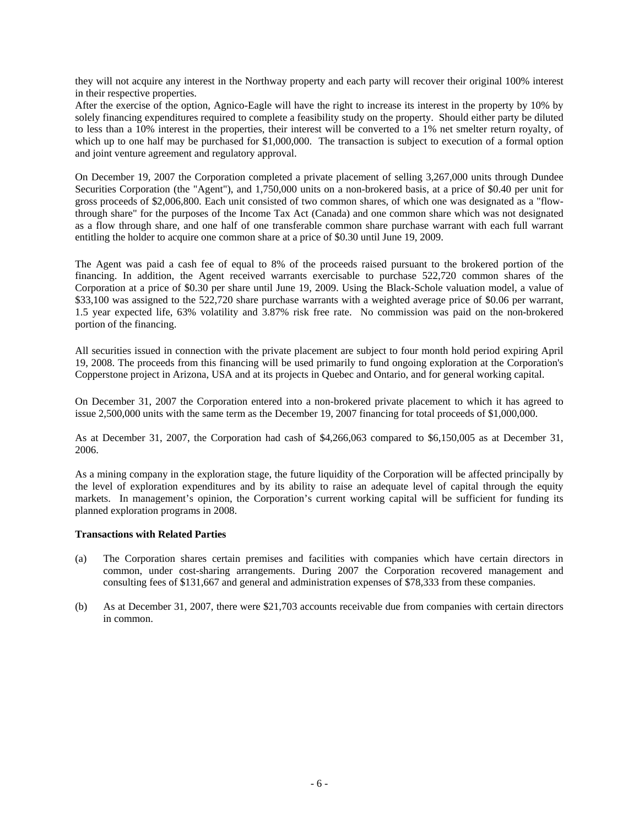they will not acquire any interest in the Northway property and each party will recover their original 100% interest in their respective properties.

After the exercise of the option, Agnico-Eagle will have the right to increase its interest in the property by 10% by solely financing expenditures required to complete a feasibility study on the property. Should either party be diluted to less than a 10% interest in the properties, their interest will be converted to a 1% net smelter return royalty, of which up to one half may be purchased for \$1,000,000. The transaction is subject to execution of a formal option and joint venture agreement and regulatory approval.

On December 19, 2007 the Corporation completed a private placement of selling 3,267,000 units through Dundee Securities Corporation (the "Agent"), and 1,750,000 units on a non-brokered basis, at a price of \$0.40 per unit for gross proceeds of \$2,006,800. Each unit consisted of two common shares, of which one was designated as a "flowthrough share" for the purposes of the Income Tax Act (Canada) and one common share which was not designated as a flow through share, and one half of one transferable common share purchase warrant with each full warrant entitling the holder to acquire one common share at a price of \$0.30 until June 19, 2009.

The Agent was paid a cash fee of equal to 8% of the proceeds raised pursuant to the brokered portion of the financing. In addition, the Agent received warrants exercisable to purchase 522,720 common shares of the Corporation at a price of \$0.30 per share until June 19, 2009. Using the Black-Schole valuation model, a value of \$33,100 was assigned to the 522,720 share purchase warrants with a weighted average price of \$0.06 per warrant, 1.5 year expected life, 63% volatility and 3.87% risk free rate. No commission was paid on the non-brokered portion of the financing.

All securities issued in connection with the private placement are subject to four month hold period expiring April 19, 2008. The proceeds from this financing will be used primarily to fund ongoing exploration at the Corporation's Copperstone project in Arizona, USA and at its projects in Quebec and Ontario, and for general working capital.

On December 31, 2007 the Corporation entered into a non-brokered private placement to which it has agreed to issue 2,500,000 units with the same term as the December 19, 2007 financing for total proceeds of \$1,000,000.

As at December 31, 2007, the Corporation had cash of \$4,266,063 compared to \$6,150,005 as at December 31, 2006.

As a mining company in the exploration stage, the future liquidity of the Corporation will be affected principally by the level of exploration expenditures and by its ability to raise an adequate level of capital through the equity markets. In management's opinion, the Corporation's current working capital will be sufficient for funding its planned exploration programs in 2008.

### **Transactions with Related Parties**

- (a) The Corporation shares certain premises and facilities with companies which have certain directors in common, under cost-sharing arrangements. During 2007 the Corporation recovered management and consulting fees of \$131,667 and general and administration expenses of \$78,333 from these companies.
- (b) As at December 31, 2007, there were \$21,703 accounts receivable due from companies with certain directors in common.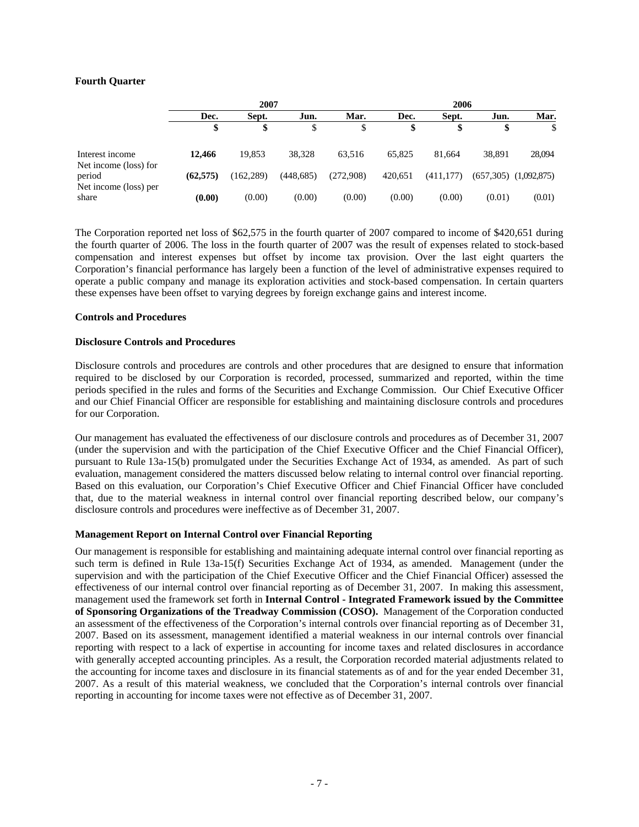### **Fourth Quarter**

|                                          | 2007     |            |            |           | 2006    |           |        |                           |
|------------------------------------------|----------|------------|------------|-----------|---------|-----------|--------|---------------------------|
|                                          | Dec.     | Sept.      | Jun.       | Mar.      | Dec.    | Sept.     | Jun.   | Mar.                      |
|                                          | Φ        | \$         |            | J         | \$      |           | D      | \$                        |
| Interest income<br>Net income (loss) for | 12,466   | 19.853     | 38,328     | 63.516    | 65.825  | 81.664    | 38,891 | 28,094                    |
| period<br>Net income (loss) per          | (62.575) | (162, 289) | (448, 685) | (272,908) | 420.651 | (411.177) |        | $(657,305)$ $(1,092,875)$ |
| share                                    | (0.00)   | (0.00)     | (0.00)     | (0.00)    | (0.00)  | (0.00)    | (0.01) | (0.01)                    |

The Corporation reported net loss of \$62,575 in the fourth quarter of 2007 compared to income of \$420,651 during the fourth quarter of 2006. The loss in the fourth quarter of 2007 was the result of expenses related to stock-based compensation and interest expenses but offset by income tax provision. Over the last eight quarters the Corporation's financial performance has largely been a function of the level of administrative expenses required to operate a public company and manage its exploration activities and stock-based compensation. In certain quarters these expenses have been offset to varying degrees by foreign exchange gains and interest income.

### **Controls and Procedures**

### **Disclosure Controls and Procedures**

Disclosure controls and procedures are controls and other procedures that are designed to ensure that information required to be disclosed by our Corporation is recorded, processed, summarized and reported, within the time periods specified in the rules and forms of the Securities and Exchange Commission. Our Chief Executive Officer and our Chief Financial Officer are responsible for establishing and maintaining disclosure controls and procedures for our Corporation.

Our management has evaluated the effectiveness of our disclosure controls and procedures as of December 31, 2007 (under the supervision and with the participation of the Chief Executive Officer and the Chief Financial Officer), pursuant to Rule 13a-15(b) promulgated under the Securities Exchange Act of 1934, as amended. As part of such evaluation, management considered the matters discussed below relating to internal control over financial reporting. Based on this evaluation, our Corporation's Chief Executive Officer and Chief Financial Officer have concluded that, due to the material weakness in internal control over financial reporting described below, our company's disclosure controls and procedures were ineffective as of December 31, 2007.

### **Management Report on Internal Control over Financial Reporting**

Our management is responsible for establishing and maintaining adequate internal control over financial reporting as such term is defined in Rule 13a-15(f) Securities Exchange Act of 1934, as amended. Management (under the supervision and with the participation of the Chief Executive Officer and the Chief Financial Officer) assessed the effectiveness of our internal control over financial reporting as of December 31, 2007. In making this assessment, management used the framework set forth in **Internal Control - Integrated Framework issued by the Committee of Sponsoring Organizations of the Treadway Commission (COSO).** Management of the Corporation conducted an assessment of the effectiveness of the Corporation's internal controls over financial reporting as of December 31, 2007. Based on its assessment, management identified a material weakness in our internal controls over financial reporting with respect to a lack of expertise in accounting for income taxes and related disclosures in accordance with generally accepted accounting principles. As a result, the Corporation recorded material adjustments related to the accounting for income taxes and disclosure in its financial statements as of and for the year ended December 31, 2007. As a result of this material weakness, we concluded that the Corporation's internal controls over financial reporting in accounting for income taxes were not effective as of December 31, 2007.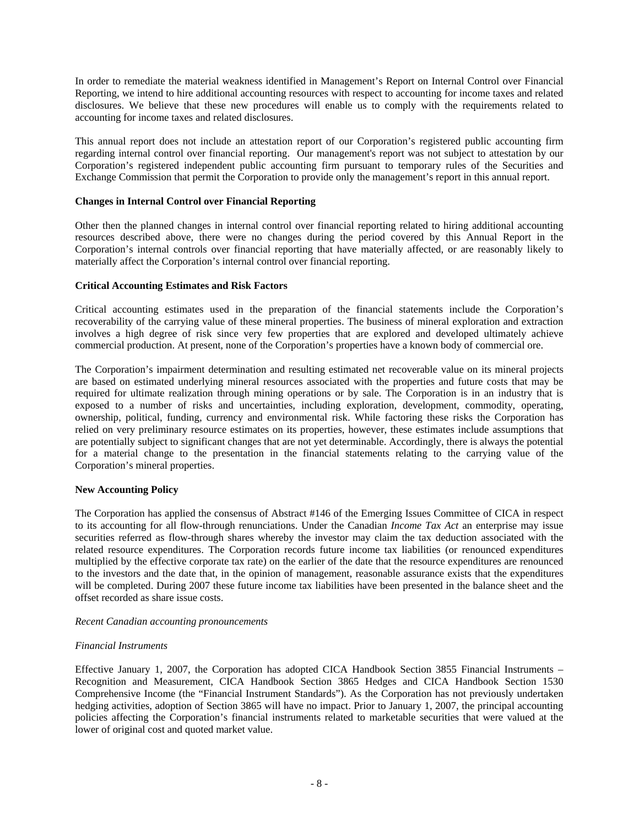In order to remediate the material weakness identified in Management's Report on Internal Control over Financial Reporting, we intend to hire additional accounting resources with respect to accounting for income taxes and related disclosures. We believe that these new procedures will enable us to comply with the requirements related to accounting for income taxes and related disclosures.

This annual report does not include an attestation report of our Corporation's registered public accounting firm regarding internal control over financial reporting. Our management's report was not subject to attestation by our Corporation's registered independent public accounting firm pursuant to temporary rules of the Securities and Exchange Commission that permit the Corporation to provide only the management's report in this annual report.

### **Changes in Internal Control over Financial Reporting**

Other then the planned changes in internal control over financial reporting related to hiring additional accounting resources described above, there were no changes during the period covered by this Annual Report in the Corporation's internal controls over financial reporting that have materially affected, or are reasonably likely to materially affect the Corporation's internal control over financial reporting.

### **Critical Accounting Estimates and Risk Factors**

Critical accounting estimates used in the preparation of the financial statements include the Corporation's recoverability of the carrying value of these mineral properties. The business of mineral exploration and extraction involves a high degree of risk since very few properties that are explored and developed ultimately achieve commercial production. At present, none of the Corporation's properties have a known body of commercial ore.

The Corporation's impairment determination and resulting estimated net recoverable value on its mineral projects are based on estimated underlying mineral resources associated with the properties and future costs that may be required for ultimate realization through mining operations or by sale. The Corporation is in an industry that is exposed to a number of risks and uncertainties, including exploration, development, commodity, operating, ownership, political, funding, currency and environmental risk. While factoring these risks the Corporation has relied on very preliminary resource estimates on its properties, however, these estimates include assumptions that are potentially subject to significant changes that are not yet determinable. Accordingly, there is always the potential for a material change to the presentation in the financial statements relating to the carrying value of the Corporation's mineral properties.

### **New Accounting Policy**

The Corporation has applied the consensus of Abstract #146 of the Emerging Issues Committee of CICA in respect to its accounting for all flow-through renunciations. Under the Canadian *Income Tax Act* an enterprise may issue securities referred as flow-through shares whereby the investor may claim the tax deduction associated with the related resource expenditures. The Corporation records future income tax liabilities (or renounced expenditures multiplied by the effective corporate tax rate) on the earlier of the date that the resource expenditures are renounced to the investors and the date that, in the opinion of management, reasonable assurance exists that the expenditures will be completed. During 2007 these future income tax liabilities have been presented in the balance sheet and the offset recorded as share issue costs.

### *Recent Canadian accounting pronouncements*

### *Financial Instruments*

Effective January 1, 2007, the Corporation has adopted CICA Handbook Section 3855 Financial Instruments – Recognition and Measurement, CICA Handbook Section 3865 Hedges and CICA Handbook Section 1530 Comprehensive Income (the "Financial Instrument Standards"). As the Corporation has not previously undertaken hedging activities, adoption of Section 3865 will have no impact. Prior to January 1, 2007, the principal accounting policies affecting the Corporation's financial instruments related to marketable securities that were valued at the lower of original cost and quoted market value.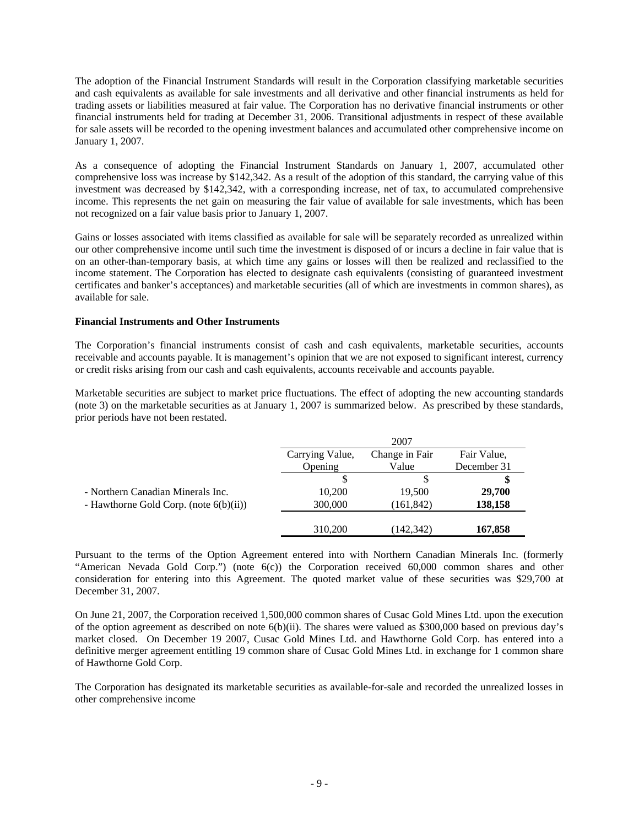The adoption of the Financial Instrument Standards will result in the Corporation classifying marketable securities and cash equivalents as available for sale investments and all derivative and other financial instruments as held for trading assets or liabilities measured at fair value. The Corporation has no derivative financial instruments or other financial instruments held for trading at December 31, 2006. Transitional adjustments in respect of these available for sale assets will be recorded to the opening investment balances and accumulated other comprehensive income on January 1, 2007.

As a consequence of adopting the Financial Instrument Standards on January 1, 2007, accumulated other comprehensive loss was increase by \$142,342. As a result of the adoption of this standard, the carrying value of this investment was decreased by \$142,342, with a corresponding increase, net of tax, to accumulated comprehensive income. This represents the net gain on measuring the fair value of available for sale investments, which has been not recognized on a fair value basis prior to January 1, 2007.

Gains or losses associated with items classified as available for sale will be separately recorded as unrealized within our other comprehensive income until such time the investment is disposed of or incurs a decline in fair value that is on an other-than-temporary basis, at which time any gains or losses will then be realized and reclassified to the income statement. The Corporation has elected to designate cash equivalents (consisting of guaranteed investment certificates and banker's acceptances) and marketable securities (all of which are investments in common shares), as available for sale.

### **Financial Instruments and Other Instruments**

The Corporation's financial instruments consist of cash and cash equivalents, marketable securities, accounts receivable and accounts payable. It is management's opinion that we are not exposed to significant interest, currency or credit risks arising from our cash and cash equivalents, accounts receivable and accounts payable.

Marketable securities are subject to market price fluctuations. The effect of adopting the new accounting standards (note 3) on the marketable securities as at January 1, 2007 is summarized below. As prescribed by these standards, prior periods have not been restated.

|                                           |                 | 2007           |             |
|-------------------------------------------|-----------------|----------------|-------------|
|                                           | Carrying Value, | Change in Fair | Fair Value, |
|                                           | Opening         | Value          | December 31 |
|                                           |                 |                |             |
| - Northern Canadian Minerals Inc.         | 10.200          | 19,500         | 29,700      |
| - Hawthorne Gold Corp. (note $6(b)(ii)$ ) | 300,000         | (161, 842)     | 138,158     |
|                                           |                 |                |             |
|                                           | 310,200         | (142, 342)     | 167,858     |

Pursuant to the terms of the Option Agreement entered into with Northern Canadian Minerals Inc. (formerly "American Nevada Gold Corp.") (note 6(c)) the Corporation received 60,000 common shares and other consideration for entering into this Agreement. The quoted market value of these securities was \$29,700 at December 31, 2007.

On June 21, 2007, the Corporation received 1,500,000 common shares of Cusac Gold Mines Ltd. upon the execution of the option agreement as described on note 6(b)(ii). The shares were valued as \$300,000 based on previous day's market closed. On December 19 2007, Cusac Gold Mines Ltd. and Hawthorne Gold Corp. has entered into a definitive merger agreement entitling 19 common share of Cusac Gold Mines Ltd. in exchange for 1 common share of Hawthorne Gold Corp.

The Corporation has designated its marketable securities as available-for-sale and recorded the unrealized losses in other comprehensive income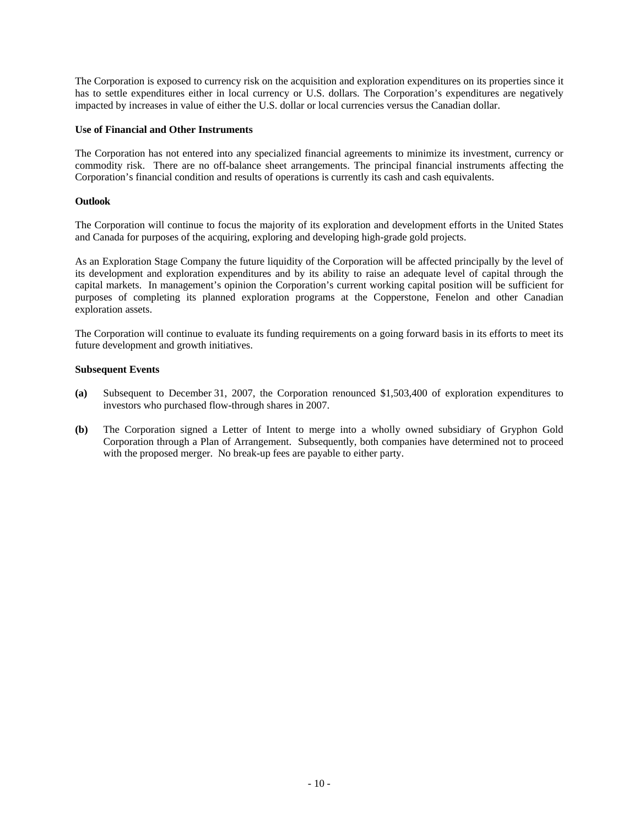The Corporation is exposed to currency risk on the acquisition and exploration expenditures on its properties since it has to settle expenditures either in local currency or U.S. dollars. The Corporation's expenditures are negatively impacted by increases in value of either the U.S. dollar or local currencies versus the Canadian dollar.

### **Use of Financial and Other Instruments**

The Corporation has not entered into any specialized financial agreements to minimize its investment, currency or commodity risk. There are no off-balance sheet arrangements. The principal financial instruments affecting the Corporation's financial condition and results of operations is currently its cash and cash equivalents.

### **Outlook**

The Corporation will continue to focus the majority of its exploration and development efforts in the United States and Canada for purposes of the acquiring, exploring and developing high-grade gold projects.

As an Exploration Stage Company the future liquidity of the Corporation will be affected principally by the level of its development and exploration expenditures and by its ability to raise an adequate level of capital through the capital markets. In management's opinion the Corporation's current working capital position will be sufficient for purposes of completing its planned exploration programs at the Copperstone, Fenelon and other Canadian exploration assets.

The Corporation will continue to evaluate its funding requirements on a going forward basis in its efforts to meet its future development and growth initiatives.

### **Subsequent Events**

- **(a)** Subsequent to December 31, 2007, the Corporation renounced \$1,503,400 of exploration expenditures to investors who purchased flow-through shares in 2007.
- **(b)** The Corporation signed a Letter of Intent to merge into a wholly owned subsidiary of Gryphon Gold Corporation through a Plan of Arrangement. Subsequently, both companies have determined not to proceed with the proposed merger. No break-up fees are payable to either party.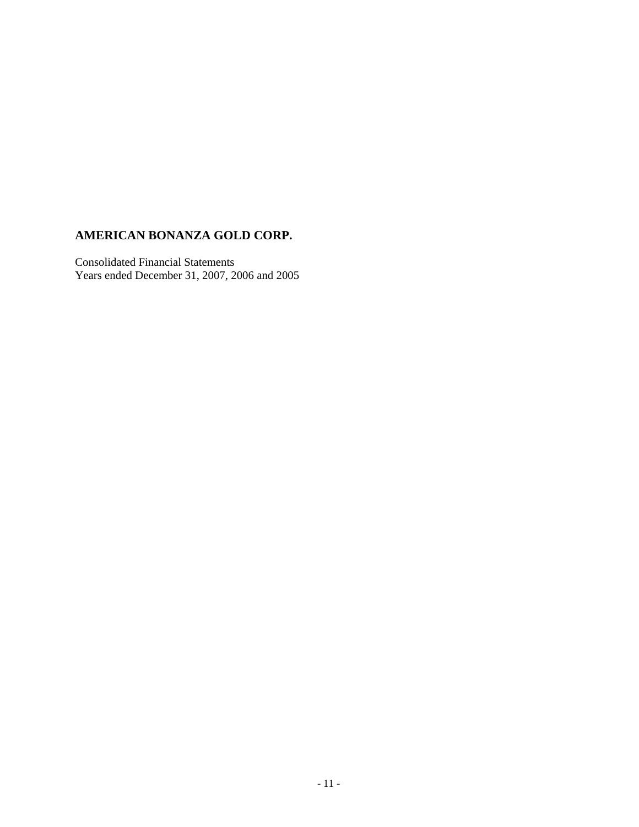### **AMERICAN BONANZA GOLD CORP.**

Consolidated Financial Statements Years ended December 31, 2007, 2006 and 2005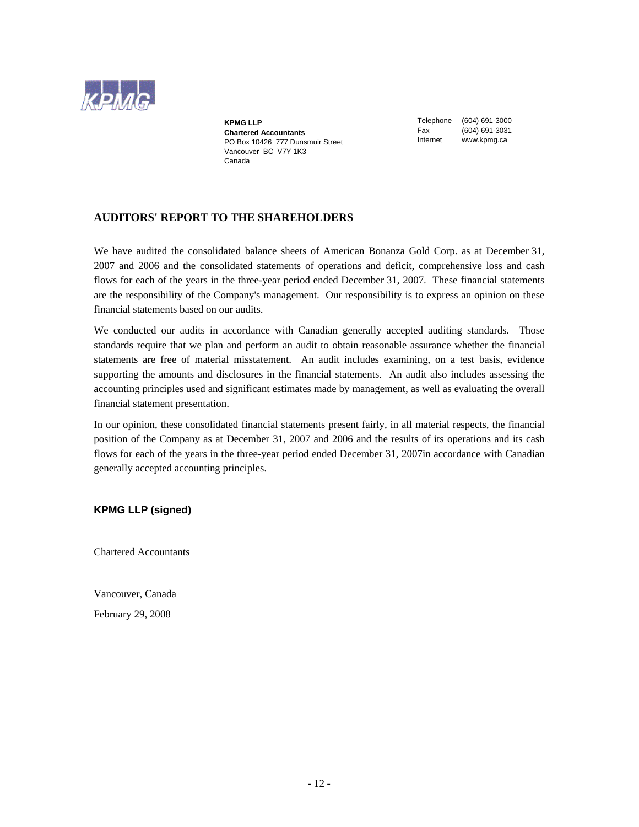

**KPMG LLP Chartered Accountants**  PO Box 10426 777 Dunsmuir Street Vancouver BC V7Y 1K3 Canada

Telephone (604) 691-3000 Fax (604) 691-3031 Internet www.kpmg.ca

### **AUDITORS' REPORT TO THE SHAREHOLDERS**

We have audited the consolidated balance sheets of American Bonanza Gold Corp. as at December 31, 2007 and 2006 and the consolidated statements of operations and deficit, comprehensive loss and cash flows for each of the years in the three-year period ended December 31, 2007. These financial statements are the responsibility of the Company's management. Our responsibility is to express an opinion on these financial statements based on our audits.

We conducted our audits in accordance with Canadian generally accepted auditing standards. Those standards require that we plan and perform an audit to obtain reasonable assurance whether the financial statements are free of material misstatement. An audit includes examining, on a test basis, evidence supporting the amounts and disclosures in the financial statements. An audit also includes assessing the accounting principles used and significant estimates made by management, as well as evaluating the overall financial statement presentation.

In our opinion, these consolidated financial statements present fairly, in all material respects, the financial position of the Company as at December 31, 2007 and 2006 and the results of its operations and its cash flows for each of the years in the three-year period ended December 31, 2007in accordance with Canadian generally accepted accounting principles.

**KPMG LLP (signed)** 

Chartered Accountants

Vancouver, Canada

February 29, 2008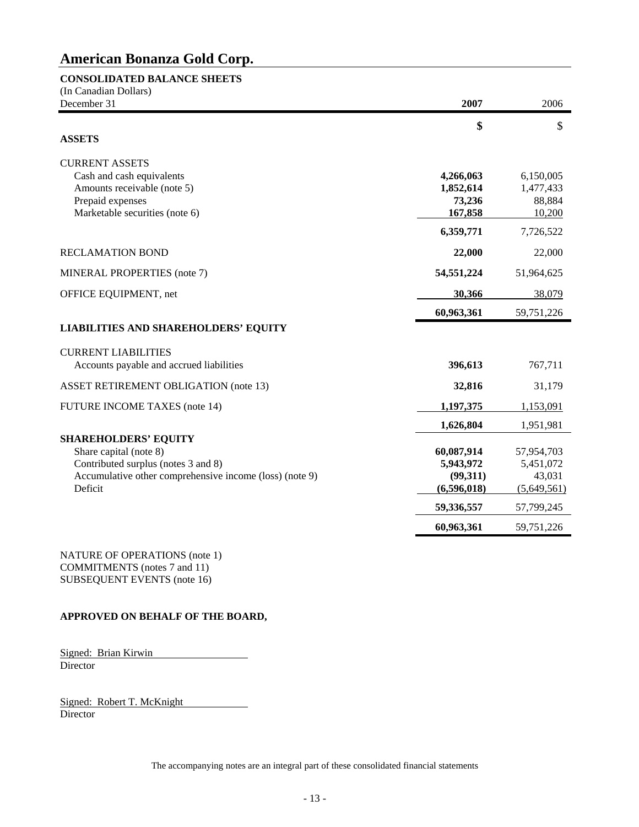### **CONSOLIDATED BALANCE SHEETS**

| (In Canadian Dollars)<br>December 31                                                                                                                               | 2007                                                                          | 2006                                                                        |
|--------------------------------------------------------------------------------------------------------------------------------------------------------------------|-------------------------------------------------------------------------------|-----------------------------------------------------------------------------|
| <b>ASSETS</b>                                                                                                                                                      | \$                                                                            | \$                                                                          |
| <b>CURRENT ASSETS</b><br>Cash and cash equivalents<br>Amounts receivable (note 5)<br>Prepaid expenses<br>Marketable securities (note 6)                            | 4,266,063<br>1,852,614<br>73,236<br>167,858                                   | 6,150,005<br>1,477,433<br>88,884<br>10,200                                  |
| <b>RECLAMATION BOND</b>                                                                                                                                            | 6,359,771<br>22,000                                                           | 7,726,522<br>22,000                                                         |
| MINERAL PROPERTIES (note 7)                                                                                                                                        | 54,551,224                                                                    | 51,964,625                                                                  |
| OFFICE EQUIPMENT, net                                                                                                                                              | 30,366<br>60,963,361                                                          | 38,079<br>59,751,226                                                        |
| <b>LIABILITIES AND SHAREHOLDERS' EQUITY</b>                                                                                                                        |                                                                               |                                                                             |
| <b>CURRENT LIABILITIES</b><br>Accounts payable and accrued liabilities<br><b>ASSET RETIREMENT OBLIGATION (note 13)</b>                                             | 396,613<br>32,816                                                             | 767,711<br>31,179                                                           |
| <b>FUTURE INCOME TAXES (note 14)</b>                                                                                                                               | 1,197,375                                                                     | 1,153,091                                                                   |
| <b>SHAREHOLDERS' EQUITY</b><br>Share capital (note 8)<br>Contributed surplus (notes 3 and 8)<br>Accumulative other comprehensive income (loss) (note 9)<br>Deficit | 1,626,804<br>60,087,914<br>5,943,972<br>(99,311)<br>(6,596,018)<br>59,336,557 | 1,951,981<br>57,954,703<br>5,451,072<br>43,031<br>(5,649,561)<br>57,799,245 |
|                                                                                                                                                                    | 60,963,361                                                                    | 59,751,226                                                                  |

NATURE OF OPERATIONS (note 1) COMMITMENTS (notes 7 and 11) SUBSEQUENT EVENTS (note 16)

### **APPROVED ON BEHALF OF THE BOARD,**

Signed: Brian Kirwin Director

Signed: Robert T. McKnight Director

The accompanying notes are an integral part of these consolidated financial statements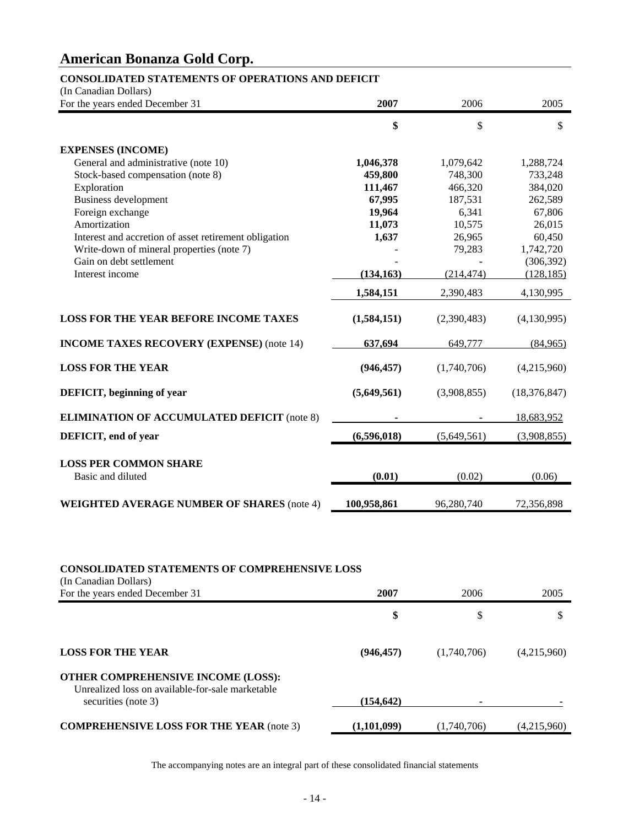### **CONSOLIDATED STATEMENTS OF OPERATIONS AND DEFICIT**

(In Canadian Dollars)

| For the years ended December 31                       | 2007        | 2006        | 2005           |
|-------------------------------------------------------|-------------|-------------|----------------|
|                                                       | \$          | \$          | \$             |
| <b>EXPENSES (INCOME)</b>                              |             |             |                |
| General and administrative (note 10)                  | 1,046,378   | 1,079,642   | 1,288,724      |
| Stock-based compensation (note 8)                     | 459,800     | 748,300     | 733,248        |
| Exploration                                           | 111,467     | 466,320     | 384,020        |
| <b>Business development</b>                           | 67,995      | 187,531     | 262,589        |
| Foreign exchange                                      | 19,964      | 6,341       | 67,806         |
| Amortization                                          | 11,073      | 10,575      | 26,015         |
| Interest and accretion of asset retirement obligation | 1,637       | 26,965      | 60,450         |
| Write-down of mineral properties (note 7)             |             | 79,283      | 1,742,720      |
| Gain on debt settlement                               |             |             | (306, 392)     |
| Interest income                                       | (134, 163)  | (214, 474)  | (128, 185)     |
|                                                       | 1,584,151   | 2,390,483   | 4,130,995      |
| <b>LOSS FOR THE YEAR BEFORE INCOME TAXES</b>          | (1,584,151) | (2,390,483) | (4,130,995)    |
| <b>INCOME TAXES RECOVERY (EXPENSE) (note 14)</b>      | 637,694     | 649,777     | (84,965)       |
| <b>LOSS FOR THE YEAR</b>                              | (946, 457)  | (1,740,706) | (4,215,960)    |
| DEFICIT, beginning of year                            | (5,649,561) | (3,908,855) | (18, 376, 847) |
| <b>ELIMINATION OF ACCUMULATED DEFICIT (note 8)</b>    |             |             | 18,683,952     |
| DEFICIT, end of year                                  | (6,596,018) | (5,649,561) | (3,908,855)    |
| <b>LOSS PER COMMON SHARE</b><br>Basic and diluted     | (0.01)      | (0.02)      | (0.06)         |
| <b>WEIGHTED AVERAGE NUMBER OF SHARES (note 4)</b>     | 100,958,861 | 96,280,740  | 72,356,898     |

### **CONSOLIDATED STATEMENTS OF COMPREHENSIVE LOSS**

| (In Canadian Dollars)                                                                                                |             |             |             |
|----------------------------------------------------------------------------------------------------------------------|-------------|-------------|-------------|
| For the years ended December 31                                                                                      | 2007        | 2006        | 2005        |
|                                                                                                                      | \$          | \$          |             |
| <b>LOSS FOR THE YEAR</b>                                                                                             | (946, 457)  | (1,740,706) | (4,215,960) |
| <b>OTHER COMPREHENSIVE INCOME (LOSS):</b><br>Unrealized loss on available-for-sale marketable<br>securities (note 3) | (154, 642)  |             |             |
| <b>COMPREHENSIVE LOSS FOR THE YEAR (note 3)</b>                                                                      | (1,101,099) | (1,740,706) | (4,215,960) |

The accompanying notes are an integral part of these consolidated financial statements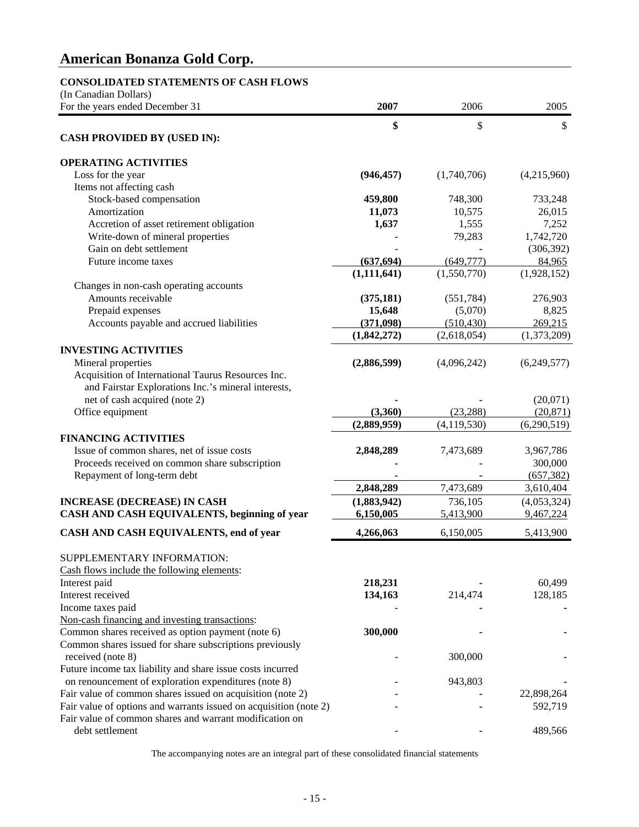### **CONSOLIDATED STATEMENTS OF CASH FLOWS**

| (In Canadian Dollars)                                             |               |               |             |
|-------------------------------------------------------------------|---------------|---------------|-------------|
| For the years ended December 31                                   | 2007          | 2006          | 2005        |
|                                                                   | \$            | \$            | \$          |
| <b>CASH PROVIDED BY (USED IN):</b>                                |               |               |             |
| <b>OPERATING ACTIVITIES</b>                                       |               |               |             |
| Loss for the year                                                 | (946, 457)    | (1,740,706)   | (4,215,960) |
| Items not affecting cash                                          |               |               |             |
| Stock-based compensation                                          | 459,800       | 748,300       | 733,248     |
| Amortization                                                      | 11,073        | 10,575        | 26,015      |
| Accretion of asset retirement obligation                          | 1,637         | 1,555         | 7,252       |
| Write-down of mineral properties                                  |               | 79,283        | 1,742,720   |
| Gain on debt settlement                                           |               |               | (306, 392)  |
| Future income taxes                                               | (637, 694)    | (649, 777)    | 84,965      |
|                                                                   | (1, 111, 641) | (1,550,770)   | (1,928,152) |
| Changes in non-cash operating accounts                            |               |               |             |
| Amounts receivable                                                | (375, 181)    | (551, 784)    | 276,903     |
| Prepaid expenses                                                  | 15,648        | (5,070)       | 8,825       |
| Accounts payable and accrued liabilities                          | (371,098)     | (510, 430)    | 269,215     |
|                                                                   | (1,842,272)   | (2,618,054)   | (1,373,209) |
| <b>INVESTING ACTIVITIES</b>                                       |               |               |             |
| Mineral properties                                                | (2,886,599)   | (4,096,242)   | (6,249,577) |
| Acquisition of International Taurus Resources Inc.                |               |               |             |
| and Fairstar Explorations Inc.'s mineral interests,               |               |               |             |
| net of cash acquired (note 2)                                     |               |               | (20,071)    |
| Office equipment                                                  | (3,360)       | (23, 288)     | (20, 871)   |
|                                                                   | (2,889,959)   | (4, 119, 530) | (6,290,519) |
| <b>FINANCING ACTIVITIES</b>                                       |               |               |             |
| Issue of common shares, net of issue costs                        | 2,848,289     | 7,473,689     | 3,967,786   |
| Proceeds received on common share subscription                    |               |               | 300,000     |
| Repayment of long-term debt                                       |               |               | (657, 382)  |
|                                                                   | 2,848,289     | 7,473,689     | 3,610,404   |
| <b>INCREASE (DECREASE) IN CASH</b>                                | (1,883,942)   | 736,105       | (4,053,324) |
| CASH AND CASH EQUIVALENTS, beginning of year                      | 6,150,005     | 5,413,900     | 9,467,224   |
| CASH AND CASH EQUIVALENTS, end of year                            | 4,266,063     | 6,150,005     | 5,413,900   |
| SUPPLEMENTARY INFORMATION:                                        |               |               |             |
| Cash flows include the following elements:                        |               |               |             |
| Interest paid                                                     | 218,231       |               | 60,499      |
| Interest received                                                 | 134,163       | 214,474       | 128,185     |
| Income taxes paid                                                 |               |               |             |
| Non-cash financing and investing transactions:                    |               |               |             |
| Common shares received as option payment (note 6)                 | 300,000       |               |             |
| Common shares issued for share subscriptions previously           |               |               |             |
| received (note 8)                                                 |               | 300,000       |             |
| Future income tax liability and share issue costs incurred        |               |               |             |
| on renouncement of exploration expenditures (note 8)              |               | 943,803       |             |
| Fair value of common shares issued on acquisition (note 2)        |               |               | 22,898,264  |
| Fair value of options and warrants issued on acquisition (note 2) |               |               | 592,719     |
| Fair value of common shares and warrant modification on           |               |               |             |
| debt settlement                                                   |               |               | 489,566     |

The accompanying notes are an integral part of these consolidated financial statements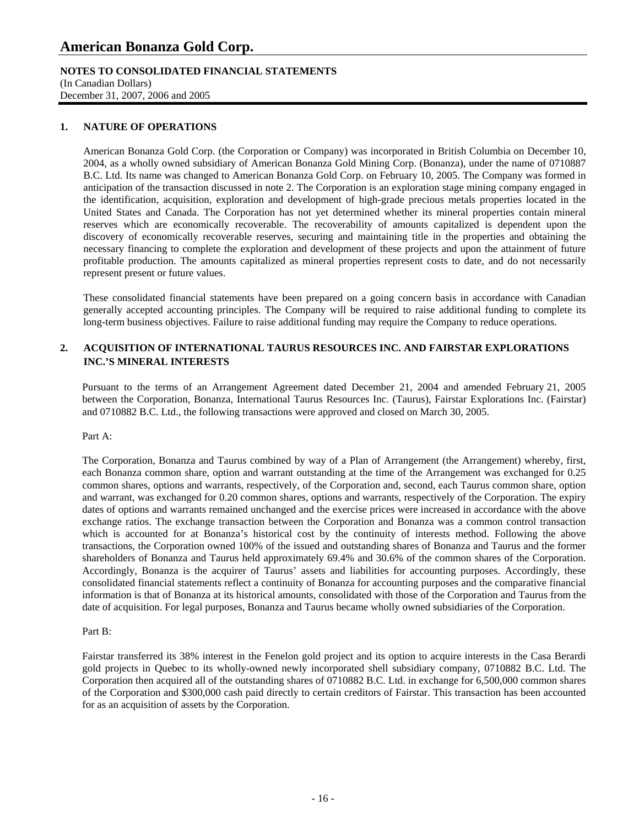### **NOTES TO CONSOLIDATED FINANCIAL STATEMENTS**

(In Canadian Dollars) December 31, 2007, 2006 and 2005

### **1. NATURE OF OPERATIONS**

American Bonanza Gold Corp. (the Corporation or Company) was incorporated in British Columbia on December 10, 2004, as a wholly owned subsidiary of American Bonanza Gold Mining Corp. (Bonanza), under the name of 0710887 B.C. Ltd. Its name was changed to American Bonanza Gold Corp. on February 10, 2005. The Company was formed in anticipation of the transaction discussed in note 2. The Corporation is an exploration stage mining company engaged in the identification, acquisition, exploration and development of high-grade precious metals properties located in the United States and Canada. The Corporation has not yet determined whether its mineral properties contain mineral reserves which are economically recoverable. The recoverability of amounts capitalized is dependent upon the discovery of economically recoverable reserves, securing and maintaining title in the properties and obtaining the necessary financing to complete the exploration and development of these projects and upon the attainment of future profitable production. The amounts capitalized as mineral properties represent costs to date, and do not necessarily represent present or future values.

These consolidated financial statements have been prepared on a going concern basis in accordance with Canadian generally accepted accounting principles. The Company will be required to raise additional funding to complete its long-term business objectives. Failure to raise additional funding may require the Company to reduce operations.

### **2. ACQUISITION OF INTERNATIONAL TAURUS RESOURCES INC. AND FAIRSTAR EXPLORATIONS INC.'S MINERAL INTERESTS**

Pursuant to the terms of an Arrangement Agreement dated December 21, 2004 and amended February 21, 2005 between the Corporation, Bonanza, International Taurus Resources Inc. (Taurus), Fairstar Explorations Inc. (Fairstar) and 0710882 B.C. Ltd., the following transactions were approved and closed on March 30, 2005.

### Part A:

The Corporation, Bonanza and Taurus combined by way of a Plan of Arrangement (the Arrangement) whereby, first, each Bonanza common share, option and warrant outstanding at the time of the Arrangement was exchanged for 0.25 common shares, options and warrants, respectively, of the Corporation and, second, each Taurus common share, option and warrant, was exchanged for 0.20 common shares, options and warrants, respectively of the Corporation. The expiry dates of options and warrants remained unchanged and the exercise prices were increased in accordance with the above exchange ratios. The exchange transaction between the Corporation and Bonanza was a common control transaction which is accounted for at Bonanza's historical cost by the continuity of interests method. Following the above transactions, the Corporation owned 100% of the issued and outstanding shares of Bonanza and Taurus and the former shareholders of Bonanza and Taurus held approximately 69.4% and 30.6% of the common shares of the Corporation. Accordingly, Bonanza is the acquirer of Taurus' assets and liabilities for accounting purposes. Accordingly, these consolidated financial statements reflect a continuity of Bonanza for accounting purposes and the comparative financial information is that of Bonanza at its historical amounts, consolidated with those of the Corporation and Taurus from the date of acquisition. For legal purposes, Bonanza and Taurus became wholly owned subsidiaries of the Corporation.

### Part B:

Fairstar transferred its 38% interest in the Fenelon gold project and its option to acquire interests in the Casa Berardi gold projects in Quebec to its wholly-owned newly incorporated shell subsidiary company, 0710882 B.C. Ltd. The Corporation then acquired all of the outstanding shares of 0710882 B.C. Ltd. in exchange for 6,500,000 common shares of the Corporation and \$300,000 cash paid directly to certain creditors of Fairstar. This transaction has been accounted for as an acquisition of assets by the Corporation.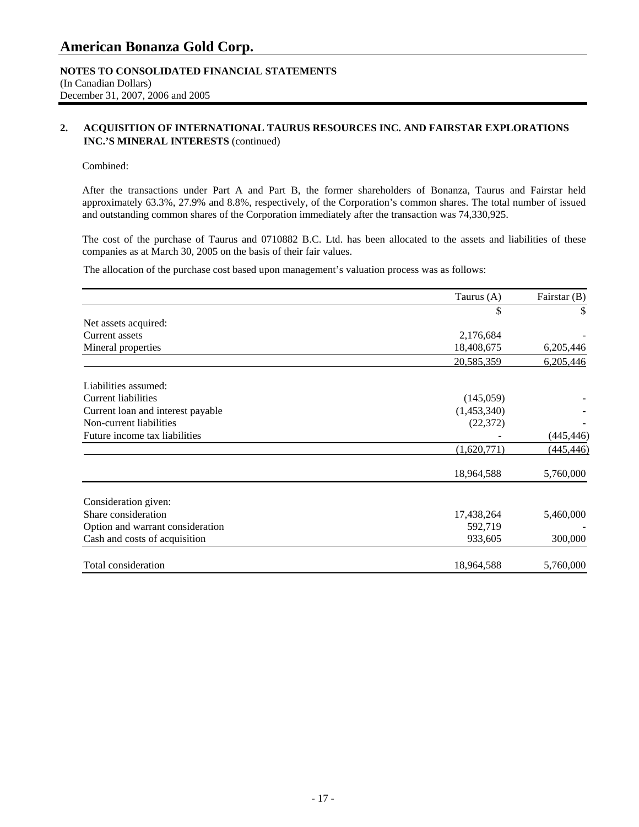### **NOTES TO CONSOLIDATED FINANCIAL STATEMENTS**  (In Canadian Dollars) December 31, 2007, 2006 and 2005

### **2. ACQUISITION OF INTERNATIONAL TAURUS RESOURCES INC. AND FAIRSTAR EXPLORATIONS INC.'S MINERAL INTERESTS** (continued)

### Combined:

After the transactions under Part A and Part B, the former shareholders of Bonanza, Taurus and Fairstar held approximately 63.3%, 27.9% and 8.8%, respectively, of the Corporation's common shares. The total number of issued and outstanding common shares of the Corporation immediately after the transaction was 74,330,925.

The cost of the purchase of Taurus and 0710882 B.C. Ltd. has been allocated to the assets and liabilities of these companies as at March 30, 2005 on the basis of their fair values.

The allocation of the purchase cost based upon management's valuation process was as follows:

|                                   | Taurus (A)  | Fairstar (B) |
|-----------------------------------|-------------|--------------|
|                                   | \$          | \$           |
| Net assets acquired:              |             |              |
| Current assets                    | 2,176,684   |              |
| Mineral properties                | 18,408,675  | 6,205,446    |
|                                   | 20,585,359  | 6,205,446    |
| Liabilities assumed:              |             |              |
| <b>Current liabilities</b>        | (145,059)   |              |
| Current loan and interest payable | (1,453,340) |              |
| Non-current liabilities           | (22, 372)   |              |
| Future income tax liabilities     |             | (445, 446)   |
|                                   | (1,620,771) | (445, 446)   |
|                                   | 18,964,588  | 5,760,000    |
| Consideration given:              |             |              |
| Share consideration               | 17,438,264  | 5,460,000    |
| Option and warrant consideration  | 592,719     |              |
| Cash and costs of acquisition     | 933,605     | 300,000      |
| Total consideration               | 18,964,588  | 5,760,000    |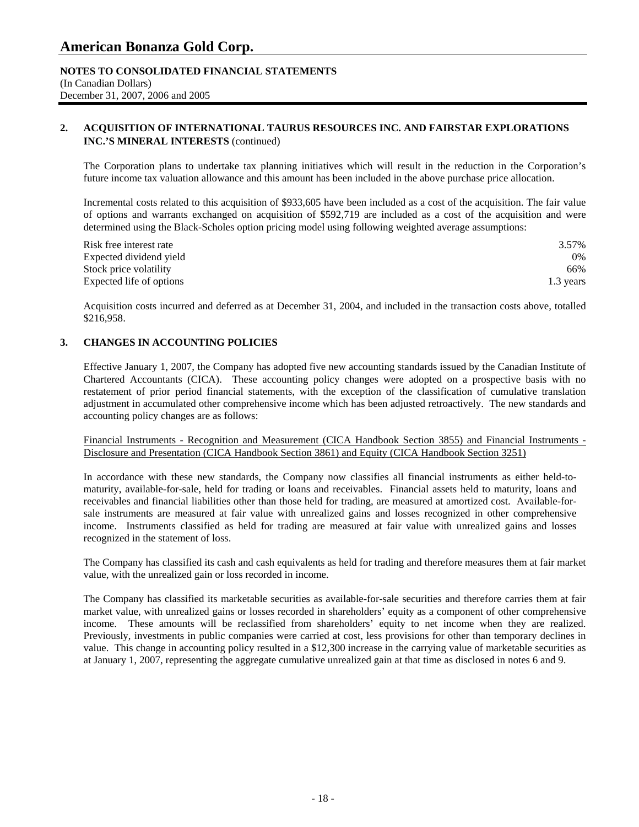### **NOTES TO CONSOLIDATED FINANCIAL STATEMENTS**  (In Canadian Dollars) December 31, 2007, 2006 and 2005

### **2. ACQUISITION OF INTERNATIONAL TAURUS RESOURCES INC. AND FAIRSTAR EXPLORATIONS INC.'S MINERAL INTERESTS** (continued)

The Corporation plans to undertake tax planning initiatives which will result in the reduction in the Corporation's future income tax valuation allowance and this amount has been included in the above purchase price allocation.

Incremental costs related to this acquisition of \$933,605 have been included as a cost of the acquisition. The fair value of options and warrants exchanged on acquisition of \$592,719 are included as a cost of the acquisition and were determined using the Black-Scholes option pricing model using following weighted average assumptions:

| Risk free interest rate  | 3.57%     |
|--------------------------|-----------|
| Expected dividend yield  | $0\%$     |
| Stock price volatility   | 66%       |
| Expected life of options | 1.3 years |

Acquisition costs incurred and deferred as at December 31, 2004, and included in the transaction costs above, totalled \$216,958.

### **3. CHANGES IN ACCOUNTING POLICIES**

 Effective January 1, 2007, the Company has adopted five new accounting standards issued by the Canadian Institute of Chartered Accountants (CICA). These accounting policy changes were adopted on a prospective basis with no restatement of prior period financial statements, with the exception of the classification of cumulative translation adjustment in accumulated other comprehensive income which has been adjusted retroactively. The new standards and accounting policy changes are as follows:

#### Financial Instruments - Recognition and Measurement (CICA Handbook Section 3855) and Financial Instruments - Disclosure and Presentation (CICA Handbook Section 3861) and Equity (CICA Handbook Section 3251)

 In accordance with these new standards, the Company now classifies all financial instruments as either held-tomaturity, available-for-sale, held for trading or loans and receivables. Financial assets held to maturity, loans and receivables and financial liabilities other than those held for trading, are measured at amortized cost. Available-forsale instruments are measured at fair value with unrealized gains and losses recognized in other comprehensive income. Instruments classified as held for trading are measured at fair value with unrealized gains and losses recognized in the statement of loss.

 The Company has classified its cash and cash equivalents as held for trading and therefore measures them at fair market value, with the unrealized gain or loss recorded in income.

 The Company has classified its marketable securities as available-for-sale securities and therefore carries them at fair market value, with unrealized gains or losses recorded in shareholders' equity as a component of other comprehensive income. These amounts will be reclassified from shareholders' equity to net income when they are realized. Previously, investments in public companies were carried at cost, less provisions for other than temporary declines in value. This change in accounting policy resulted in a \$12,300 increase in the carrying value of marketable securities as at January 1, 2007, representing the aggregate cumulative unrealized gain at that time as disclosed in notes 6 and 9.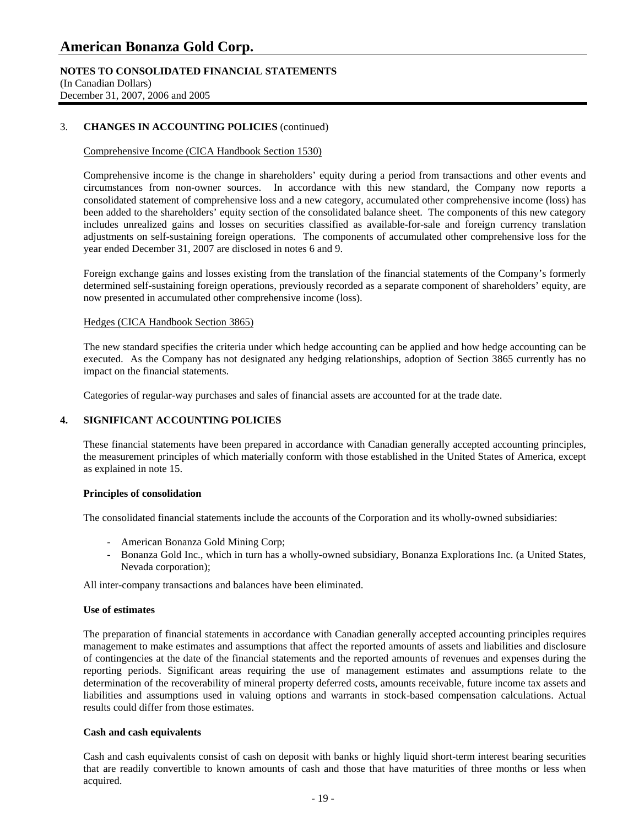### **NOTES TO CONSOLIDATED FINANCIAL STATEMENTS**

(In Canadian Dollars) December 31, 2007, 2006 and 2005

### 3. **CHANGES IN ACCOUNTING POLICIES** (continued)

### Comprehensive Income (CICA Handbook Section 1530)

 Comprehensive income is the change in shareholders' equity during a period from transactions and other events and circumstances from non-owner sources. In accordance with this new standard, the Company now reports a consolidated statement of comprehensive loss and a new category, accumulated other comprehensive income (loss) has been added to the shareholders' equity section of the consolidated balance sheet. The components of this new category includes unrealized gains and losses on securities classified as available-for-sale and foreign currency translation adjustments on self-sustaining foreign operations. The components of accumulated other comprehensive loss for the year ended December 31, 2007 are disclosed in notes 6 and 9.

 Foreign exchange gains and losses existing from the translation of the financial statements of the Company's formerly determined self-sustaining foreign operations, previously recorded as a separate component of shareholders' equity, are now presented in accumulated other comprehensive income (loss).

### Hedges (CICA Handbook Section 3865)

 The new standard specifies the criteria under which hedge accounting can be applied and how hedge accounting can be executed. As the Company has not designated any hedging relationships, adoption of Section 3865 currently has no impact on the financial statements.

Categories of regular-way purchases and sales of financial assets are accounted for at the trade date.

### **4. SIGNIFICANT ACCOUNTING POLICIES**

 These financial statements have been prepared in accordance with Canadian generally accepted accounting principles, the measurement principles of which materially conform with those established in the United States of America, except as explained in note 15.

### **Principles of consolidation**

The consolidated financial statements include the accounts of the Corporation and its wholly-owned subsidiaries:

- American Bonanza Gold Mining Corp;
- Bonanza Gold Inc., which in turn has a wholly-owned subsidiary, Bonanza Explorations Inc. (a United States, Nevada corporation);

All inter-company transactions and balances have been eliminated.

### **Use of estimates**

The preparation of financial statements in accordance with Canadian generally accepted accounting principles requires management to make estimates and assumptions that affect the reported amounts of assets and liabilities and disclosure of contingencies at the date of the financial statements and the reported amounts of revenues and expenses during the reporting periods. Significant areas requiring the use of management estimates and assumptions relate to the determination of the recoverability of mineral property deferred costs, amounts receivable, future income tax assets and liabilities and assumptions used in valuing options and warrants in stock-based compensation calculations. Actual results could differ from those estimates.

### **Cash and cash equivalents**

 Cash and cash equivalents consist of cash on deposit with banks or highly liquid short-term interest bearing securities that are readily convertible to known amounts of cash and those that have maturities of three months or less when acquired.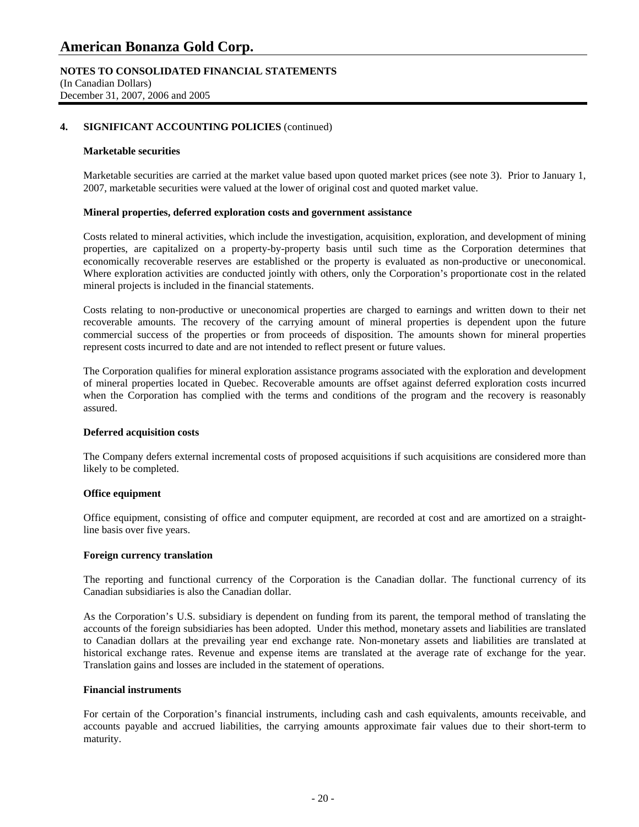### **NOTES TO CONSOLIDATED FINANCIAL STATEMENTS**  (In Canadian Dollars) December 31, 2007, 2006 and 2005

### **4. SIGNIFICANT ACCOUNTING POLICIES** (continued)

#### **Marketable securities**

Marketable securities are carried at the market value based upon quoted market prices (see note 3). Prior to January 1, 2007, marketable securities were valued at the lower of original cost and quoted market value.

### **Mineral properties, deferred exploration costs and government assistance**

 Costs related to mineral activities, which include the investigation, acquisition, exploration, and development of mining properties, are capitalized on a property-by-property basis until such time as the Corporation determines that economically recoverable reserves are established or the property is evaluated as non-productive or uneconomical. Where exploration activities are conducted jointly with others, only the Corporation's proportionate cost in the related mineral projects is included in the financial statements.

 Costs relating to non-productive or uneconomical properties are charged to earnings and written down to their net recoverable amounts. The recovery of the carrying amount of mineral properties is dependent upon the future commercial success of the properties or from proceeds of disposition. The amounts shown for mineral properties represent costs incurred to date and are not intended to reflect present or future values.

 The Corporation qualifies for mineral exploration assistance programs associated with the exploration and development of mineral properties located in Quebec. Recoverable amounts are offset against deferred exploration costs incurred when the Corporation has complied with the terms and conditions of the program and the recovery is reasonably assured.

### **Deferred acquisition costs**

 The Company defers external incremental costs of proposed acquisitions if such acquisitions are considered more than likely to be completed.

### **Office equipment**

 Office equipment, consisting of office and computer equipment, are recorded at cost and are amortized on a straightline basis over five years.

### **Foreign currency translation**

 The reporting and functional currency of the Corporation is the Canadian dollar. The functional currency of its Canadian subsidiaries is also the Canadian dollar.

 As the Corporation's U.S. subsidiary is dependent on funding from its parent, the temporal method of translating the accounts of the foreign subsidiaries has been adopted. Under this method, monetary assets and liabilities are translated to Canadian dollars at the prevailing year end exchange rate. Non-monetary assets and liabilities are translated at historical exchange rates. Revenue and expense items are translated at the average rate of exchange for the year. Translation gains and losses are included in the statement of operations.

### **Financial instruments**

For certain of the Corporation's financial instruments, including cash and cash equivalents, amounts receivable, and accounts payable and accrued liabilities, the carrying amounts approximate fair values due to their short-term to maturity.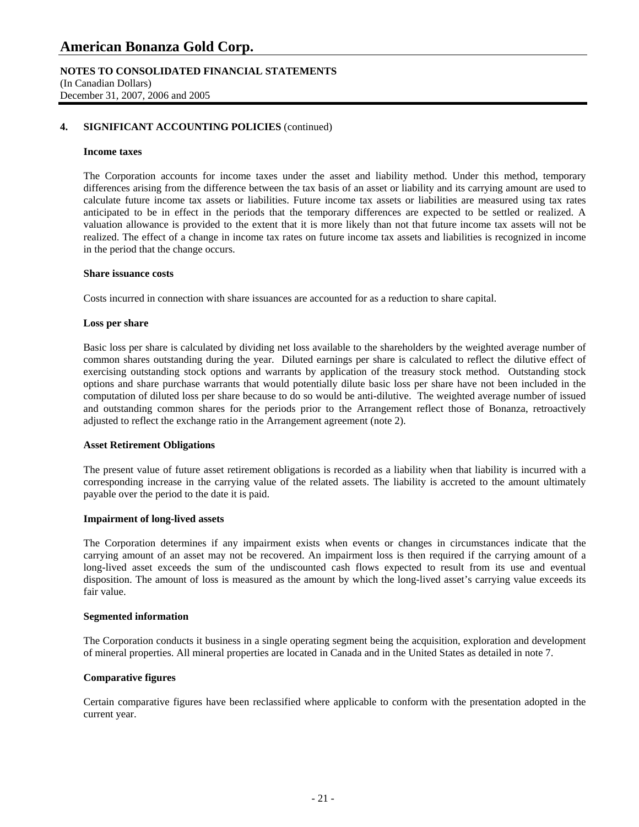**NOTES TO CONSOLIDATED FINANCIAL STATEMENTS**  (In Canadian Dollars) December 31, 2007, 2006 and 2005

### **4. SIGNIFICANT ACCOUNTING POLICIES** (continued)

#### **Income taxes**

The Corporation accounts for income taxes under the asset and liability method. Under this method, temporary differences arising from the difference between the tax basis of an asset or liability and its carrying amount are used to calculate future income tax assets or liabilities. Future income tax assets or liabilities are measured using tax rates anticipated to be in effect in the periods that the temporary differences are expected to be settled or realized. A valuation allowance is provided to the extent that it is more likely than not that future income tax assets will not be realized. The effect of a change in income tax rates on future income tax assets and liabilities is recognized in income in the period that the change occurs.

#### **Share issuance costs**

Costs incurred in connection with share issuances are accounted for as a reduction to share capital.

#### **Loss per share**

 Basic loss per share is calculated by dividing net loss available to the shareholders by the weighted average number of common shares outstanding during the year. Diluted earnings per share is calculated to reflect the dilutive effect of exercising outstanding stock options and warrants by application of the treasury stock method. Outstanding stock options and share purchase warrants that would potentially dilute basic loss per share have not been included in the computation of diluted loss per share because to do so would be anti-dilutive. The weighted average number of issued and outstanding common shares for the periods prior to the Arrangement reflect those of Bonanza, retroactively adjusted to reflect the exchange ratio in the Arrangement agreement (note 2).

### **Asset Retirement Obligations**

 The present value of future asset retirement obligations is recorded as a liability when that liability is incurred with a corresponding increase in the carrying value of the related assets. The liability is accreted to the amount ultimately payable over the period to the date it is paid.

#### **Impairment of long-lived assets**

 The Corporation determines if any impairment exists when events or changes in circumstances indicate that the carrying amount of an asset may not be recovered. An impairment loss is then required if the carrying amount of a long-lived asset exceeds the sum of the undiscounted cash flows expected to result from its use and eventual disposition. The amount of loss is measured as the amount by which the long-lived asset's carrying value exceeds its fair value.

#### **Segmented information**

 The Corporation conducts it business in a single operating segment being the acquisition, exploration and development of mineral properties. All mineral properties are located in Canada and in the United States as detailed in note 7.

### **Comparative figures**

 Certain comparative figures have been reclassified where applicable to conform with the presentation adopted in the current year.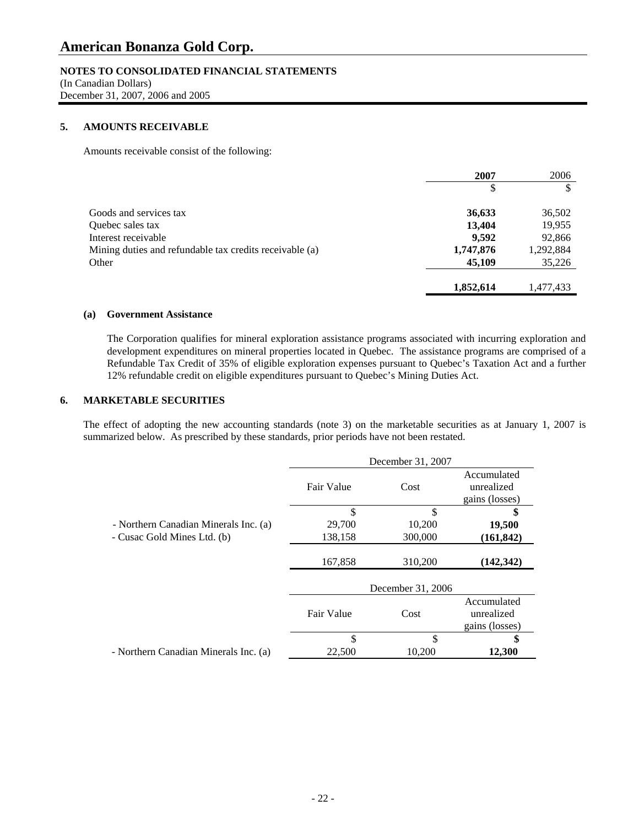### **NOTES TO CONSOLIDATED FINANCIAL STATEMENTS**

(In Canadian Dollars) December 31, 2007, 2006 and 2005

### **5. AMOUNTS RECEIVABLE**

Amounts receivable consist of the following:

|                                                         | 2007      | 2006      |
|---------------------------------------------------------|-----------|-----------|
|                                                         | \$        |           |
| Goods and services tax                                  | 36,633    | 36,502    |
| Quebec sales tax                                        | 13,404    | 19,955    |
| Interest receivable                                     | 9.592     | 92,866    |
| Mining duties and refundable tax credits receivable (a) | 1,747,876 | 1,292,884 |
| Other                                                   | 45,109    | 35,226    |
|                                                         | 1,852,614 | 1,477,433 |

### **(a) Government Assistance**

The Corporation qualifies for mineral exploration assistance programs associated with incurring exploration and development expenditures on mineral properties located in Quebec. The assistance programs are comprised of a Refundable Tax Credit of 35% of eligible exploration expenses pursuant to Quebec's Taxation Act and a further 12% refundable credit on eligible expenditures pursuant to Quebec's Mining Duties Act.

### **6. MARKETABLE SECURITIES**

 The effect of adopting the new accounting standards (note 3) on the marketable securities as at January 1, 2007 is summarized below. As prescribed by these standards, prior periods have not been restated.

|                                       |            | December 31, 2007 |                                             |
|---------------------------------------|------------|-------------------|---------------------------------------------|
|                                       | Fair Value | Cost              | Accumulated<br>unrealized<br>gains (losses) |
|                                       | \$         | \$                | \$                                          |
| - Northern Canadian Minerals Inc. (a) | 29,700     | 10,200            | 19,500                                      |
| - Cusac Gold Mines Ltd. (b)           | 138,158    | 300,000           | (161, 842)                                  |
|                                       | 167,858    | 310,200           | (142, 342)                                  |
|                                       |            | December 31, 2006 |                                             |
|                                       | Fair Value | Cost              | Accumulated<br>unrealized<br>gains (losses) |
|                                       | \$         | \$                | \$                                          |
| - Northern Canadian Minerals Inc. (a) | 22,500     | 10,200            | 12,300                                      |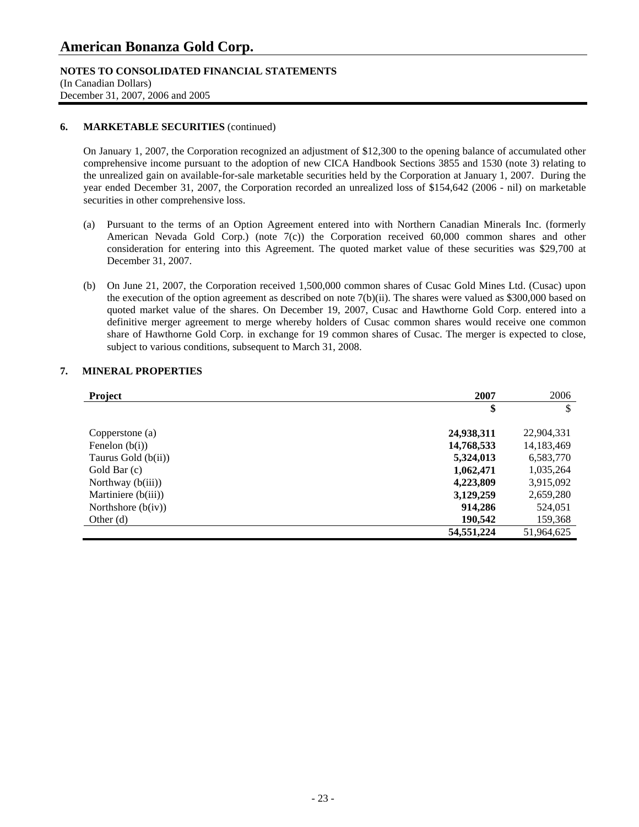### **NOTES TO CONSOLIDATED FINANCIAL STATEMENTS**

(In Canadian Dollars) December 31, 2007, 2006 and 2005

### **6. MARKETABLE SECURITIES** (continued)

On January 1, 2007, the Corporation recognized an adjustment of \$12,300 to the opening balance of accumulated other comprehensive income pursuant to the adoption of new CICA Handbook Sections 3855 and 1530 (note 3) relating to the unrealized gain on available-for-sale marketable securities held by the Corporation at January 1, 2007. During the year ended December 31, 2007, the Corporation recorded an unrealized loss of \$154,642 (2006 - nil) on marketable securities in other comprehensive loss.

- (a) Pursuant to the terms of an Option Agreement entered into with Northern Canadian Minerals Inc. (formerly American Nevada Gold Corp.) (note 7(c)) the Corporation received 60,000 common shares and other consideration for entering into this Agreement. The quoted market value of these securities was \$29,700 at December 31, 2007.
- (b) On June 21, 2007, the Corporation received 1,500,000 common shares of Cusac Gold Mines Ltd. (Cusac) upon the execution of the option agreement as described on note 7(b)(ii). The shares were valued as \$300,000 based on quoted market value of the shares. On December 19, 2007, Cusac and Hawthorne Gold Corp. entered into a definitive merger agreement to merge whereby holders of Cusac common shares would receive one common share of Hawthorne Gold Corp. in exchange for 19 common shares of Cusac. The merger is expected to close, subject to various conditions, subsequent to March 31, 2008.

### **7. MINERAL PROPERTIES**

| Project              | 2007         | 2006       |
|----------------------|--------------|------------|
|                      | \$           | \$         |
|                      |              |            |
| Copperstone (a)      | 24,938,311   | 22,904,331 |
| Fenelon $(b(i))$     | 14,768,533   | 14,183,469 |
| Taurus Gold (b(ii))  | 5,324,013    | 6,583,770  |
| Gold Bar (c)         | 1,062,471    | 1,035,264  |
| Northway $(b(iii))$  | 4,223,809    | 3,915,092  |
| Martiniere (b(iii))  | 3,129,259    | 2,659,280  |
| Northshore $(b(iv))$ | 914,286      | 524,051    |
| Other $(d)$          | 190,542      | 159,368    |
|                      | 54, 551, 224 | 51,964,625 |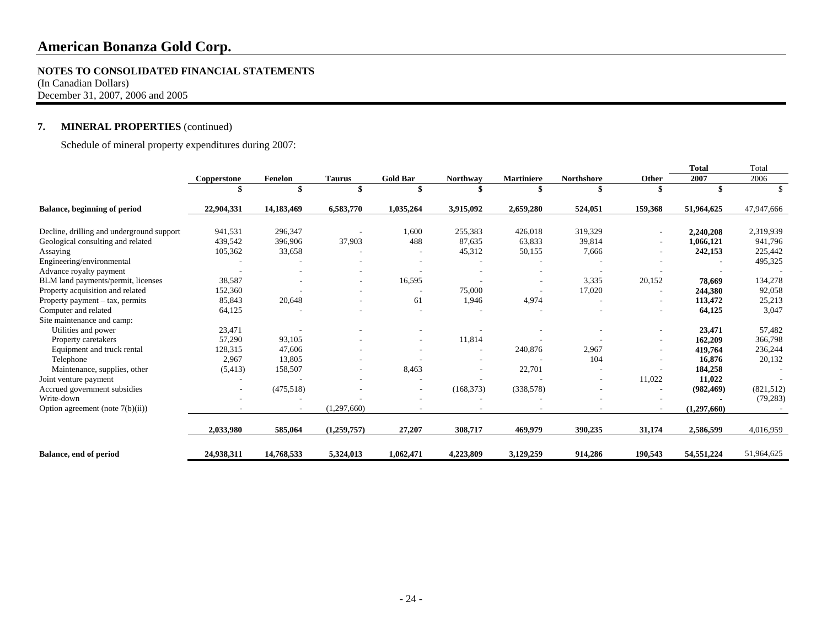#### **NOTES TO CONSOLIDATED FINANCIAL STATEMENTS**

(In Canadian Dollars) December 31, 2007, 2006 and 2005

### **7. MINERAL PROPERTIES** (continued)

Schedule of mineral property expenditures during 2007:

|                                           |                          |            |               |                          |            |                   |                   |         | Total       | Total      |
|-------------------------------------------|--------------------------|------------|---------------|--------------------------|------------|-------------------|-------------------|---------|-------------|------------|
|                                           | Copperstone              | Fenelon    | <b>Taurus</b> | <b>Gold Bar</b>          | Northway   | <b>Martiniere</b> | <b>Northshore</b> | Other   | 2007        | 2006       |
|                                           |                          |            |               |                          |            |                   |                   |         |             |            |
| <b>Balance, beginning of period</b>       | 22,904,331               | 14,183,469 | 6,583,770     | 1,035,264                | 3,915,092  | 2,659,280         | 524,051           | 159,368 | 51,964,625  | 47,947,666 |
| Decline, drilling and underground support | 941,531                  | 296,347    |               | 1,600                    | 255,383    | 426,018           | 319,329           |         | 2,240,208   | 2,319,939  |
| Geological consulting and related         | 439,542                  | 396,906    | 37,903        | 488                      | 87.635     | 63,833            | 39,814            |         | 1,066,121   | 941,796    |
| Assaying                                  | 105,362                  | 33,658     |               |                          | 45,312     | 50,155            | 7,666             |         | 242,153     | 225,442    |
| Engineering/environmental                 |                          |            |               |                          |            |                   |                   |         |             | 495,325    |
| Advance royalty payment                   |                          |            |               |                          |            |                   |                   |         |             |            |
| BLM land payments/permit, licenses        | 38,587                   |            |               | 16,595                   |            |                   | 3,335             | 20,152  | 78,669      | 134,278    |
| Property acquisition and related          | 152,360                  |            |               |                          | 75,000     |                   | 17,020            |         | 244,380     | 92,058     |
| Property payment $-$ tax, permits         | 85,843                   | 20,648     |               | 61                       | 1,946      | 4,974             |                   |         | 113,472     | 25,213     |
| Computer and related                      | 64,125                   |            |               |                          |            |                   |                   |         | 64,125      | 3,047      |
| Site maintenance and camp:                |                          |            |               |                          |            |                   |                   |         |             |            |
| Utilities and power                       | 23,471                   |            |               |                          |            |                   |                   |         | 23,471      | 57,482     |
| Property caretakers                       | 57,290                   | 93,105     |               |                          | 11,814     |                   |                   |         | 162,209     | 366,798    |
| Equipment and truck rental                | 128,315                  | 47,606     |               |                          |            | 240,876           | 2,967             |         | 419,764     | 236,244    |
| Telephone                                 | 2,967                    | 13,805     |               |                          |            |                   | 104               |         | 16,876      | 20,132     |
| Maintenance, supplies, other              | (5, 413)                 | 158,507    |               | 8,463                    |            | 22,701            |                   |         | 184,258     |            |
| Joint venture payment                     |                          |            |               |                          |            |                   |                   | 11,022  | 11,022      |            |
| Accrued government subsidies              | $\overline{\phantom{a}}$ | (475,518)  |               | $\overline{\phantom{a}}$ | (168, 373) | (338, 578)        |                   |         | (982, 469)  | (821,512)  |
| Write-down                                |                          |            |               |                          |            |                   |                   |         |             | (79, 283)  |
| Option agreement (note $7(b)(ii)$ )       |                          |            | (1,297,660)   |                          |            |                   |                   |         | (1,297,660) |            |
|                                           | 2,033,980                | 585,064    | (1,259,757)   | 27,207                   | 308,717    | 469,979           | 390,235           | 31,174  | 2,586,599   | 4,016,959  |
| Balance, end of period                    | 24,938,311               | 14,768,533 | 5,324,013     | 1,062,471                | 4,223,809  | 3,129,259         | 914,286           | 190,543 | 54,551,224  | 51,964,625 |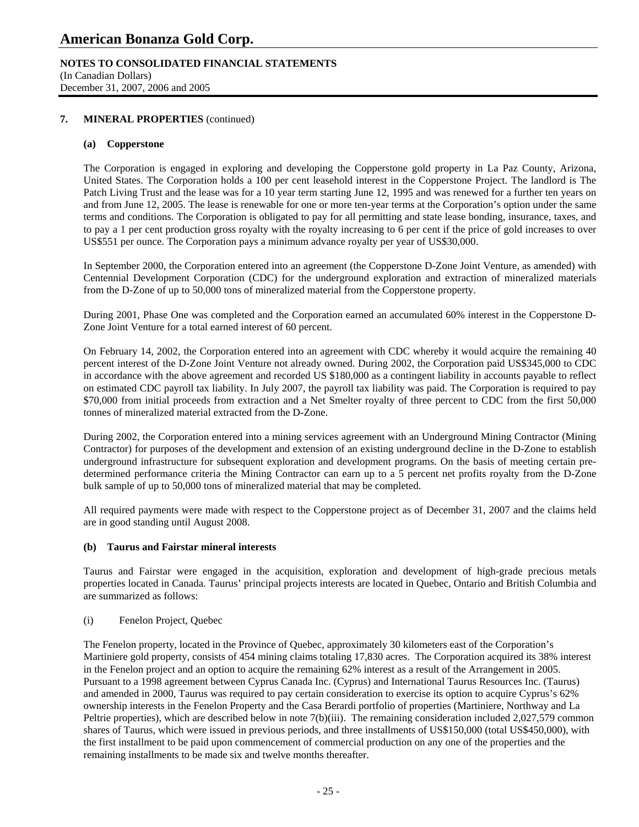### **NOTES TO CONSOLIDATED FINANCIAL STATEMENTS**

(In Canadian Dollars) December 31, 2007, 2006 and 2005

### **7. MINERAL PROPERTIES** (continued)

### **(a) Copperstone**

The Corporation is engaged in exploring and developing the Copperstone gold property in La Paz County, Arizona, United States. The Corporation holds a 100 per cent leasehold interest in the Copperstone Project. The landlord is The Patch Living Trust and the lease was for a 10 year term starting June 12, 1995 and was renewed for a further ten years on and from June 12, 2005. The lease is renewable for one or more ten-year terms at the Corporation's option under the same terms and conditions. The Corporation is obligated to pay for all permitting and state lease bonding, insurance, taxes, and to pay a 1 per cent production gross royalty with the royalty increasing to 6 per cent if the price of gold increases to over US\$551 per ounce. The Corporation pays a minimum advance royalty per year of US\$30,000.

 In September 2000, the Corporation entered into an agreement (the Copperstone D-Zone Joint Venture, as amended) with Centennial Development Corporation (CDC) for the underground exploration and extraction of mineralized materials from the D-Zone of up to 50,000 tons of mineralized material from the Copperstone property.

 During 2001, Phase One was completed and the Corporation earned an accumulated 60% interest in the Copperstone D-Zone Joint Venture for a total earned interest of 60 percent.

On February 14, 2002, the Corporation entered into an agreement with CDC whereby it would acquire the remaining 40 percent interest of the D-Zone Joint Venture not already owned. During 2002, the Corporation paid US\$345,000 to CDC in accordance with the above agreement and recorded US \$180,000 as a contingent liability in accounts payable to reflect on estimated CDC payroll tax liability. In July 2007, the payroll tax liability was paid. The Corporation is required to pay \$70,000 from initial proceeds from extraction and a Net Smelter royalty of three percent to CDC from the first 50,000 tonnes of mineralized material extracted from the D-Zone.

 During 2002, the Corporation entered into a mining services agreement with an Underground Mining Contractor (Mining Contractor) for purposes of the development and extension of an existing underground decline in the D-Zone to establish underground infrastructure for subsequent exploration and development programs. On the basis of meeting certain predetermined performance criteria the Mining Contractor can earn up to a 5 percent net profits royalty from the D-Zone bulk sample of up to 50,000 tons of mineralized material that may be completed.

All required payments were made with respect to the Copperstone project as of December 31, 2007 and the claims held are in good standing until August 2008.

### **(b) Taurus and Fairstar mineral interests**

Taurus and Fairstar were engaged in the acquisition, exploration and development of high-grade precious metals properties located in Canada. Taurus' principal projects interests are located in Quebec, Ontario and British Columbia and are summarized as follows:

(i) Fenelon Project, Quebec

The Fenelon property, located in the Province of Quebec, approximately 30 kilometers east of the Corporation's Martiniere gold property, consists of 454 mining claims totaling 17,830 acres. The Corporation acquired its 38% interest in the Fenelon project and an option to acquire the remaining 62% interest as a result of the Arrangement in 2005. Pursuant to a 1998 agreement between Cyprus Canada Inc. (Cyprus) and International Taurus Resources Inc. (Taurus) and amended in 2000, Taurus was required to pay certain consideration to exercise its option to acquire Cyprus's 62% ownership interests in the Fenelon Property and the Casa Berardi portfolio of properties (Martiniere, Northway and La Peltrie properties), which are described below in note 7(b)(iii). The remaining consideration included 2,027,579 common shares of Taurus, which were issued in previous periods, and three installments of US\$150,000 (total US\$450,000), with the first installment to be paid upon commencement of commercial production on any one of the properties and the remaining installments to be made six and twelve months thereafter.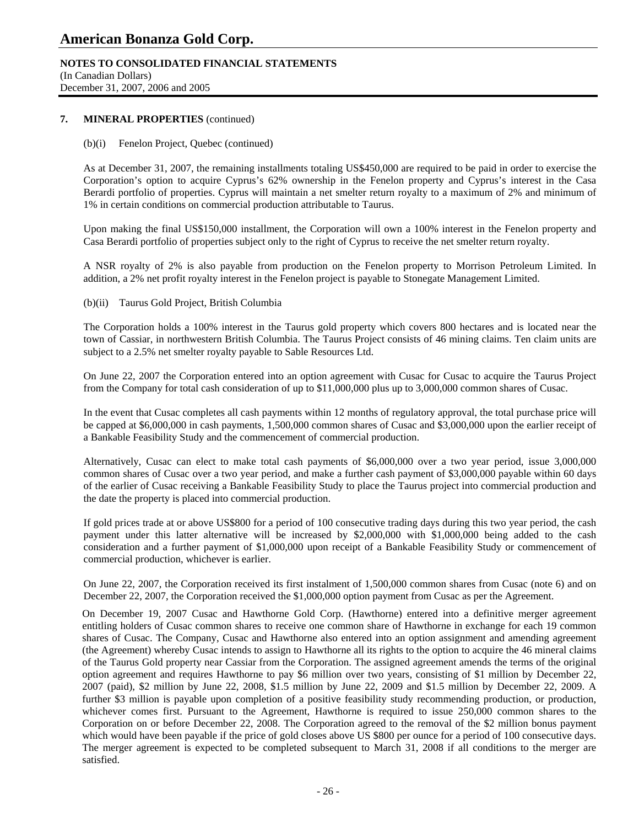### **NOTES TO CONSOLIDATED FINANCIAL STATEMENTS**

(In Canadian Dollars) December 31, 2007, 2006 and 2005

### **7. MINERAL PROPERTIES** (continued)

### (b)(i) Fenelon Project, Quebec (continued)

As at December 31, 2007, the remaining installments totaling US\$450,000 are required to be paid in order to exercise the Corporation's option to acquire Cyprus's 62% ownership in the Fenelon property and Cyprus's interest in the Casa Berardi portfolio of properties. Cyprus will maintain a net smelter return royalty to a maximum of 2% and minimum of 1% in certain conditions on commercial production attributable to Taurus.

Upon making the final US\$150,000 installment, the Corporation will own a 100% interest in the Fenelon property and Casa Berardi portfolio of properties subject only to the right of Cyprus to receive the net smelter return royalty.

A NSR royalty of 2% is also payable from production on the Fenelon property to Morrison Petroleum Limited. In addition, a 2% net profit royalty interest in the Fenelon project is payable to Stonegate Management Limited.

### (b)(ii) Taurus Gold Project, British Columbia

The Corporation holds a 100% interest in the Taurus gold property which covers 800 hectares and is located near the town of Cassiar, in northwestern British Columbia. The Taurus Project consists of 46 mining claims. Ten claim units are subject to a 2.5% net smelter royalty payable to Sable Resources Ltd.

On June 22, 2007 the Corporation entered into an option agreement with Cusac for Cusac to acquire the Taurus Project from the Company for total cash consideration of up to \$11,000,000 plus up to 3,000,000 common shares of Cusac.

In the event that Cusac completes all cash payments within 12 months of regulatory approval, the total purchase price will be capped at \$6,000,000 in cash payments, 1,500,000 common shares of Cusac and \$3,000,000 upon the earlier receipt of a Bankable Feasibility Study and the commencement of commercial production.

Alternatively, Cusac can elect to make total cash payments of \$6,000,000 over a two year period, issue 3,000,000 common shares of Cusac over a two year period, and make a further cash payment of \$3,000,000 payable within 60 days of the earlier of Cusac receiving a Bankable Feasibility Study to place the Taurus project into commercial production and the date the property is placed into commercial production.

If gold prices trade at or above US\$800 for a period of 100 consecutive trading days during this two year period, the cash payment under this latter alternative will be increased by \$2,000,000 with \$1,000,000 being added to the cash consideration and a further payment of \$1,000,000 upon receipt of a Bankable Feasibility Study or commencement of commercial production, whichever is earlier.

On June 22, 2007, the Corporation received its first instalment of 1,500,000 common shares from Cusac (note 6) and on December 22, 2007, the Corporation received the \$1,000,000 option payment from Cusac as per the Agreement.

On December 19, 2007 Cusac and Hawthorne Gold Corp. (Hawthorne) entered into a definitive merger agreement entitling holders of Cusac common shares to receive one common share of Hawthorne in exchange for each 19 common shares of Cusac. The Company, Cusac and Hawthorne also entered into an option assignment and amending agreement (the Agreement) whereby Cusac intends to assign to Hawthorne all its rights to the option to acquire the 46 mineral claims of the Taurus Gold property near Cassiar from the Corporation. The assigned agreement amends the terms of the original option agreement and requires Hawthorne to pay \$6 million over two years, consisting of \$1 million by December 22, 2007 (paid), \$2 million by June 22, 2008, \$1.5 million by June 22, 2009 and \$1.5 million by December 22, 2009. A further \$3 million is payable upon completion of a positive feasibility study recommending production, or production, whichever comes first. Pursuant to the Agreement, Hawthorne is required to issue 250,000 common shares to the Corporation on or before December 22, 2008. The Corporation agreed to the removal of the \$2 million bonus payment which would have been payable if the price of gold closes above US \$800 per ounce for a period of 100 consecutive days. The merger agreement is expected to be completed subsequent to March 31, 2008 if all conditions to the merger are satisfied.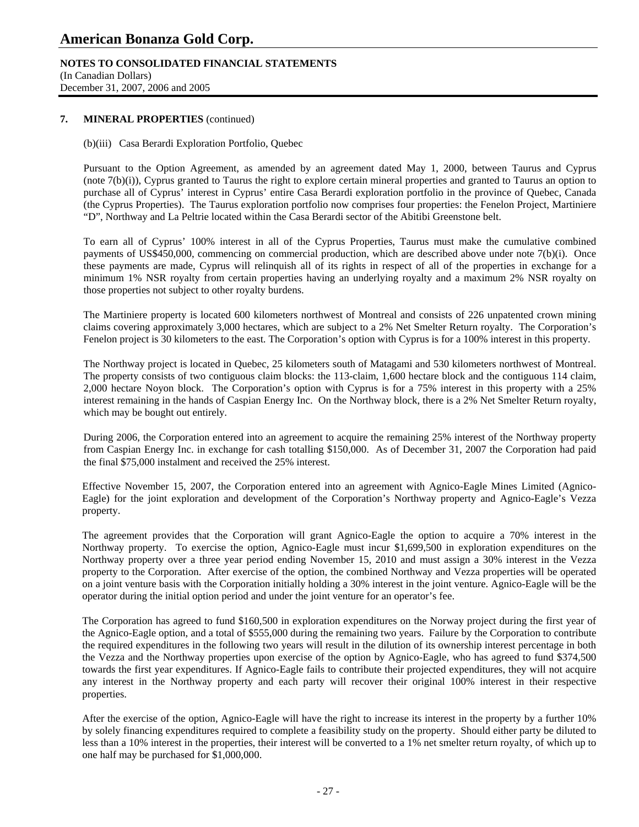### **NOTES TO CONSOLIDATED FINANCIAL STATEMENTS**

(In Canadian Dollars) December 31, 2007, 2006 and 2005

### **7. MINERAL PROPERTIES** (continued)

(b)(iii) Casa Berardi Exploration Portfolio, Quebec

Pursuant to the Option Agreement, as amended by an agreement dated May 1, 2000, between Taurus and Cyprus (note 7(b)(i)), Cyprus granted to Taurus the right to explore certain mineral properties and granted to Taurus an option to purchase all of Cyprus' interest in Cyprus' entire Casa Berardi exploration portfolio in the province of Quebec, Canada (the Cyprus Properties). The Taurus exploration portfolio now comprises four properties: the Fenelon Project, Martiniere "D", Northway and La Peltrie located within the Casa Berardi sector of the Abitibi Greenstone belt.

To earn all of Cyprus' 100% interest in all of the Cyprus Properties, Taurus must make the cumulative combined payments of US\$450,000, commencing on commercial production, which are described above under note 7(b)(i). Once these payments are made, Cyprus will relinquish all of its rights in respect of all of the properties in exchange for a minimum 1% NSR royalty from certain properties having an underlying royalty and a maximum 2% NSR royalty on those properties not subject to other royalty burdens.

The Martiniere property is located 600 kilometers northwest of Montreal and consists of 226 unpatented crown mining claims covering approximately 3,000 hectares, which are subject to a 2% Net Smelter Return royalty. The Corporation's Fenelon project is 30 kilometers to the east. The Corporation's option with Cyprus is for a 100% interest in this property.

The Northway project is located in Quebec, 25 kilometers south of Matagami and 530 kilometers northwest of Montreal. The property consists of two contiguous claim blocks: the 113-claim, 1,600 hectare block and the contiguous 114 claim, 2,000 hectare Noyon block. The Corporation's option with Cyprus is for a 75% interest in this property with a 25% interest remaining in the hands of Caspian Energy Inc. On the Northway block, there is a 2% Net Smelter Return royalty, which may be bought out entirely.

During 2006, the Corporation entered into an agreement to acquire the remaining 25% interest of the Northway property from Caspian Energy Inc. in exchange for cash totalling \$150,000. As of December 31, 2007 the Corporation had paid the final \$75,000 instalment and received the 25% interest.

Effective November 15, 2007, the Corporation entered into an agreement with Agnico-Eagle Mines Limited (Agnico-Eagle) for the joint exploration and development of the Corporation's Northway property and Agnico-Eagle's Vezza property.

The agreement provides that the Corporation will grant Agnico-Eagle the option to acquire a 70% interest in the Northway property. To exercise the option, Agnico-Eagle must incur \$1,699,500 in exploration expenditures on the Northway property over a three year period ending November 15, 2010 and must assign a 30% interest in the Vezza property to the Corporation. After exercise of the option, the combined Northway and Vezza properties will be operated on a joint venture basis with the Corporation initially holding a 30% interest in the joint venture. Agnico-Eagle will be the operator during the initial option period and under the joint venture for an operator's fee.

The Corporation has agreed to fund \$160,500 in exploration expenditures on the Norway project during the first year of the Agnico-Eagle option, and a total of \$555,000 during the remaining two years. Failure by the Corporation to contribute the required expenditures in the following two years will result in the dilution of its ownership interest percentage in both the Vezza and the Northway properties upon exercise of the option by Agnico-Eagle, who has agreed to fund \$374,500 towards the first year expenditures. If Agnico-Eagle fails to contribute their projected expenditures, they will not acquire any interest in the Northway property and each party will recover their original 100% interest in their respective properties.

After the exercise of the option, Agnico-Eagle will have the right to increase its interest in the property by a further 10% by solely financing expenditures required to complete a feasibility study on the property. Should either party be diluted to less than a 10% interest in the properties, their interest will be converted to a 1% net smelter return royalty, of which up to one half may be purchased for \$1,000,000.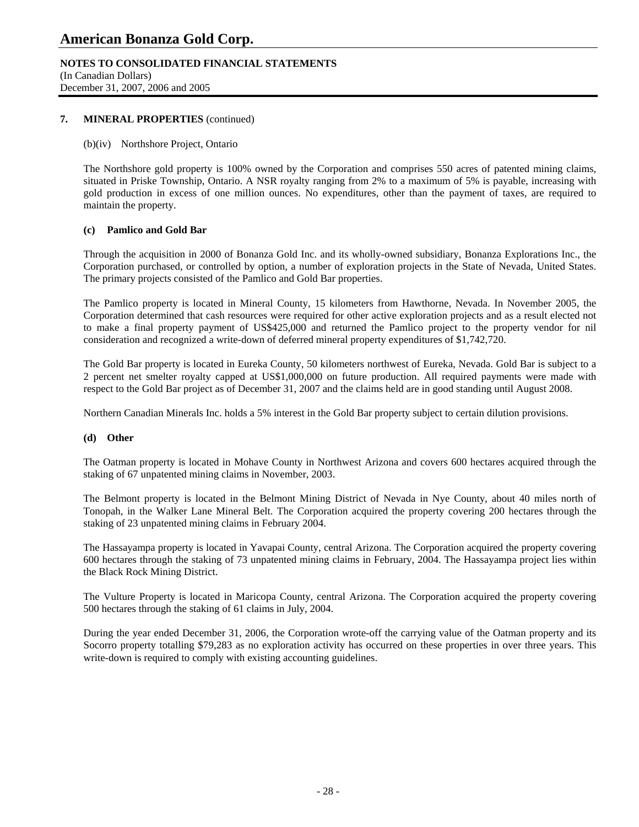### **NOTES TO CONSOLIDATED FINANCIAL STATEMENTS**

(In Canadian Dollars) December 31, 2007, 2006 and 2005

### **7. MINERAL PROPERTIES** (continued)

### (b)(iv) Northshore Project, Ontario

The Northshore gold property is 100% owned by the Corporation and comprises 550 acres of patented mining claims, situated in Priske Township, Ontario. A NSR royalty ranging from 2% to a maximum of 5% is payable, increasing with gold production in excess of one million ounces. No expenditures, other than the payment of taxes, are required to maintain the property.

### **(c) Pamlico and Gold Bar**

 Through the acquisition in 2000 of Bonanza Gold Inc. and its wholly-owned subsidiary, Bonanza Explorations Inc., the Corporation purchased, or controlled by option, a number of exploration projects in the State of Nevada, United States. The primary projects consisted of the Pamlico and Gold Bar properties.

The Pamlico property is located in Mineral County, 15 kilometers from Hawthorne, Nevada. In November 2005, the Corporation determined that cash resources were required for other active exploration projects and as a result elected not to make a final property payment of US\$425,000 and returned the Pamlico project to the property vendor for nil consideration and recognized a write-down of deferred mineral property expenditures of \$1,742,720.

 The Gold Bar property is located in Eureka County, 50 kilometers northwest of Eureka, Nevada. Gold Bar is subject to a 2 percent net smelter royalty capped at US\$1,000,000 on future production. All required payments were made with respect to the Gold Bar project as of December 31, 2007 and the claims held are in good standing until August 2008.

Northern Canadian Minerals Inc. holds a 5% interest in the Gold Bar property subject to certain dilution provisions.

### **(d) Other**

 The Oatman property is located in Mohave County in Northwest Arizona and covers 600 hectares acquired through the staking of 67 unpatented mining claims in November, 2003.

The Belmont property is located in the Belmont Mining District of Nevada in Nye County, about 40 miles north of Tonopah, in the Walker Lane Mineral Belt. The Corporation acquired the property covering 200 hectares through the staking of 23 unpatented mining claims in February 2004.

The Hassayampa property is located in Yavapai County, central Arizona. The Corporation acquired the property covering 600 hectares through the staking of 73 unpatented mining claims in February, 2004. The Hassayampa project lies within the Black Rock Mining District.

The Vulture Property is located in Maricopa County, central Arizona. The Corporation acquired the property covering 500 hectares through the staking of 61 claims in July, 2004.

During the year ended December 31, 2006, the Corporation wrote-off the carrying value of the Oatman property and its Socorro property totalling \$79,283 as no exploration activity has occurred on these properties in over three years. This write-down is required to comply with existing accounting guidelines.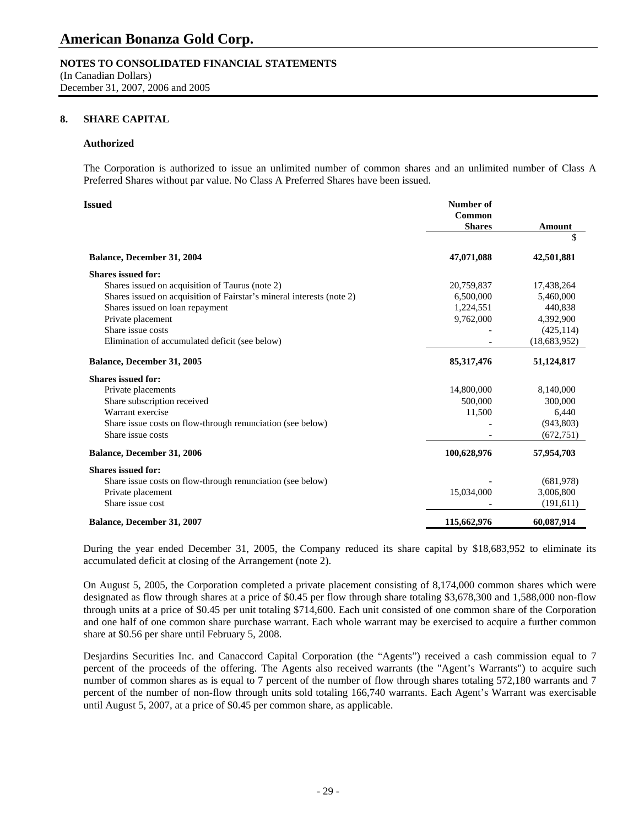### **NOTES TO CONSOLIDATED FINANCIAL STATEMENTS**

(In Canadian Dollars) December 31, 2007, 2006 and 2005

### **8. SHARE CAPITAL**

### **Authorized**

The Corporation is authorized to issue an unlimited number of common shares and an unlimited number of Class A Preferred Shares without par value. No Class A Preferred Shares have been issued.

| Issued                                                                | Number of     |                |
|-----------------------------------------------------------------------|---------------|----------------|
|                                                                       | Common        |                |
|                                                                       | <b>Shares</b> | Amount         |
|                                                                       |               | \$             |
| <b>Balance, December 31, 2004</b>                                     | 47,071,088    | 42,501,881     |
| <b>Shares issued for:</b>                                             |               |                |
| Shares issued on acquisition of Taurus (note 2)                       | 20,759,837    | 17,438,264     |
| Shares issued on acquisition of Fairstar's mineral interests (note 2) | 6,500,000     | 5,460,000      |
| Shares issued on loan repayment                                       | 1,224,551     | 440.838        |
| Private placement                                                     | 9,762,000     | 4,392,900      |
| Share issue costs                                                     |               | (425, 114)     |
| Elimination of accumulated deficit (see below)                        |               | (18, 683, 952) |
| Balance, December 31, 2005                                            | 85, 317, 476  | 51,124,817     |
| <b>Shares issued for:</b>                                             |               |                |
| Private placements                                                    | 14,800,000    | 8,140,000      |
| Share subscription received                                           | 500,000       | 300,000        |
| Warrant exercise                                                      | 11,500        | 6,440          |
| Share issue costs on flow-through renunciation (see below)            |               | (943, 803)     |
| Share issue costs                                                     |               | (672, 751)     |
| <b>Balance, December 31, 2006</b>                                     | 100,628,976   | 57,954,703     |
| <b>Shares issued for:</b>                                             |               |                |
| Share issue costs on flow-through renunciation (see below)            |               | (681,978)      |
| Private placement                                                     | 15,034,000    | 3,006,800      |
| Share issue cost                                                      |               | (191,611)      |
| <b>Balance, December 31, 2007</b>                                     | 115,662,976   | 60,087,914     |

During the year ended December 31, 2005, the Company reduced its share capital by \$18,683,952 to eliminate its accumulated deficit at closing of the Arrangement (note 2).

On August 5, 2005, the Corporation completed a private placement consisting of 8,174,000 common shares which were designated as flow through shares at a price of \$0.45 per flow through share totaling \$3,678,300 and 1,588,000 non-flow through units at a price of \$0.45 per unit totaling \$714,600. Each unit consisted of one common share of the Corporation and one half of one common share purchase warrant. Each whole warrant may be exercised to acquire a further common share at \$0.56 per share until February 5, 2008.

Desjardins Securities Inc. and Canaccord Capital Corporation (the "Agents") received a cash commission equal to 7 percent of the proceeds of the offering. The Agents also received warrants (the "Agent's Warrants") to acquire such number of common shares as is equal to 7 percent of the number of flow through shares totaling 572,180 warrants and 7 percent of the number of non-flow through units sold totaling 166,740 warrants. Each Agent's Warrant was exercisable until August 5, 2007, at a price of \$0.45 per common share, as applicable.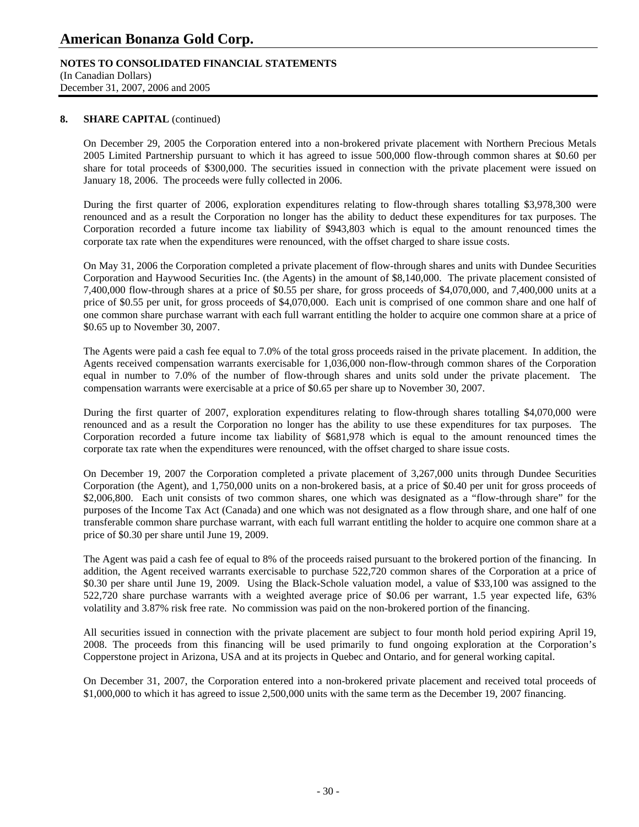### **NOTES TO CONSOLIDATED FINANCIAL STATEMENTS**

(In Canadian Dollars) December 31, 2007, 2006 and 2005

### 8. **SHARE CAPITAL** (continued)

On December 29, 2005 the Corporation entered into a non-brokered private placement with Northern Precious Metals 2005 Limited Partnership pursuant to which it has agreed to issue 500,000 flow-through common shares at \$0.60 per share for total proceeds of \$300,000. The securities issued in connection with the private placement were issued on January 18, 2006. The proceeds were fully collected in 2006.

During the first quarter of 2006, exploration expenditures relating to flow-through shares totalling \$3,978,300 were renounced and as a result the Corporation no longer has the ability to deduct these expenditures for tax purposes. The Corporation recorded a future income tax liability of \$943,803 which is equal to the amount renounced times the corporate tax rate when the expenditures were renounced, with the offset charged to share issue costs.

On May 31, 2006 the Corporation completed a private placement of flow-through shares and units with Dundee Securities Corporation and Haywood Securities Inc. (the Agents) in the amount of \$8,140,000. The private placement consisted of 7,400,000 flow-through shares at a price of \$0.55 per share, for gross proceeds of \$4,070,000, and 7,400,000 units at a price of \$0.55 per unit, for gross proceeds of \$4,070,000. Each unit is comprised of one common share and one half of one common share purchase warrant with each full warrant entitling the holder to acquire one common share at a price of \$0.65 up to November 30, 2007.

The Agents were paid a cash fee equal to 7.0% of the total gross proceeds raised in the private placement. In addition, the Agents received compensation warrants exercisable for 1,036,000 non-flow-through common shares of the Corporation equal in number to 7.0% of the number of flow-through shares and units sold under the private placement. The compensation warrants were exercisable at a price of \$0.65 per share up to November 30, 2007.

During the first quarter of 2007, exploration expenditures relating to flow-through shares totalling \$4,070,000 were renounced and as a result the Corporation no longer has the ability to use these expenditures for tax purposes. The Corporation recorded a future income tax liability of \$681,978 which is equal to the amount renounced times the corporate tax rate when the expenditures were renounced, with the offset charged to share issue costs.

On December 19, 2007 the Corporation completed a private placement of 3,267,000 units through Dundee Securities Corporation (the Agent), and 1,750,000 units on a non-brokered basis, at a price of \$0.40 per unit for gross proceeds of \$2,006,800. Each unit consists of two common shares, one which was designated as a "flow-through share" for the purposes of the Income Tax Act (Canada) and one which was not designated as a flow through share, and one half of one transferable common share purchase warrant, with each full warrant entitling the holder to acquire one common share at a price of \$0.30 per share until June 19, 2009.

The Agent was paid a cash fee of equal to 8% of the proceeds raised pursuant to the brokered portion of the financing. In addition, the Agent received warrants exercisable to purchase 522,720 common shares of the Corporation at a price of \$0.30 per share until June 19, 2009. Using the Black-Schole valuation model, a value of \$33,100 was assigned to the 522,720 share purchase warrants with a weighted average price of \$0.06 per warrant, 1.5 year expected life, 63% volatility and 3.87% risk free rate. No commission was paid on the non-brokered portion of the financing.

All securities issued in connection with the private placement are subject to four month hold period expiring April 19, 2008. The proceeds from this financing will be used primarily to fund ongoing exploration at the Corporation's Copperstone project in Arizona, USA and at its projects in Quebec and Ontario, and for general working capital.

On December 31, 2007, the Corporation entered into a non-brokered private placement and received total proceeds of \$1,000,000 to which it has agreed to issue 2,500,000 units with the same term as the December 19, 2007 financing.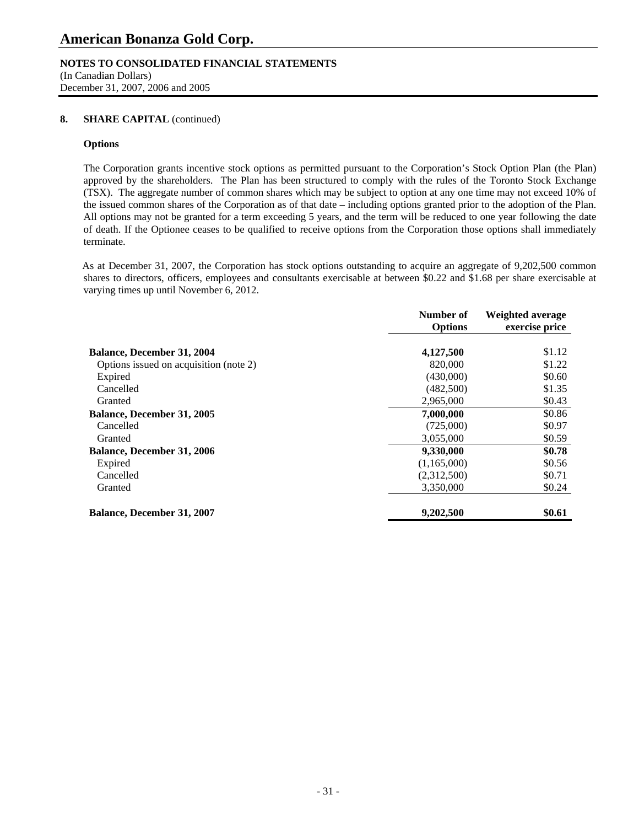### **NOTES TO CONSOLIDATED FINANCIAL STATEMENTS**

(In Canadian Dollars) December 31, 2007, 2006 and 2005

### 8. **SHARE CAPITAL** (continued)

### **Options**

 The Corporation grants incentive stock options as permitted pursuant to the Corporation's Stock Option Plan (the Plan) approved by the shareholders. The Plan has been structured to comply with the rules of the Toronto Stock Exchange (TSX). The aggregate number of common shares which may be subject to option at any one time may not exceed 10% of the issued common shares of the Corporation as of that date – including options granted prior to the adoption of the Plan. All options may not be granted for a term exceeding 5 years, and the term will be reduced to one year following the date of death. If the Optionee ceases to be qualified to receive options from the Corporation those options shall immediately terminate.

As at December 31, 2007, the Corporation has stock options outstanding to acquire an aggregate of 9,202,500 common shares to directors, officers, employees and consultants exercisable at between \$0.22 and \$1.68 per share exercisable at varying times up until November 6, 2012.

|                                        | Number of<br><b>Options</b> | Weighted average<br>exercise price |
|----------------------------------------|-----------------------------|------------------------------------|
|                                        |                             |                                    |
| <b>Balance, December 31, 2004</b>      | 4,127,500                   | \$1.12                             |
| Options issued on acquisition (note 2) | 820,000                     | \$1.22                             |
| Expired                                | (430,000)                   | \$0.60                             |
| Cancelled                              | (482,500)                   | \$1.35                             |
| Granted                                | 2,965,000                   | \$0.43                             |
| <b>Balance, December 31, 2005</b>      | 7,000,000                   | \$0.86                             |
| Cancelled                              | (725,000)                   | \$0.97                             |
| Granted                                | 3,055,000                   | \$0.59                             |
| <b>Balance, December 31, 2006</b>      | 9,330,000                   | \$0.78                             |
| Expired                                | (1,165,000)                 | \$0.56                             |
| Cancelled                              | (2,312,500)                 | \$0.71                             |
| Granted                                | 3,350,000                   | \$0.24                             |
| <b>Balance, December 31, 2007</b>      | 9,202,500                   | \$0.61                             |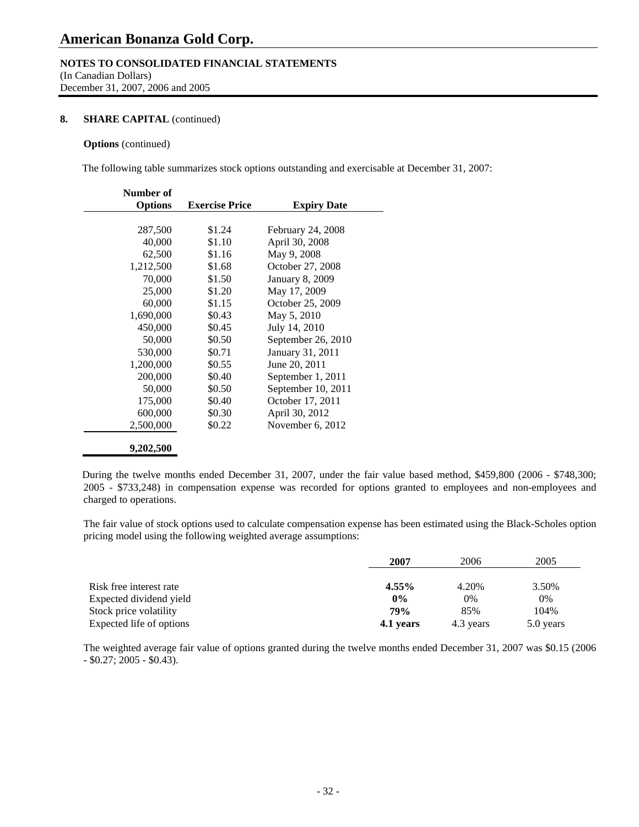### **NOTES TO CONSOLIDATED FINANCIAL STATEMENTS**

(In Canadian Dollars) December 31, 2007, 2006 and 2005

### 8. **SHARE CAPITAL** (continued)

### **Options** (continued)

The following table summarizes stock options outstanding and exercisable at December 31, 2007:

| Number of      |                       |                        |
|----------------|-----------------------|------------------------|
| <b>Options</b> | <b>Exercise Price</b> | <b>Expiry Date</b>     |
|                |                       |                        |
| 287,500        | \$1.24                | February 24, 2008      |
| 40,000         | \$1.10                | April 30, 2008         |
| 62,500         | \$1.16                | May 9, 2008            |
| 1,212,500      | \$1.68                | October 27, 2008       |
| 70,000         | \$1.50                | <b>January 8, 2009</b> |
| 25,000         | \$1.20                | May 17, 2009           |
| 60,000         | \$1.15                | October 25, 2009       |
| 1,690,000      | \$0.43                | May 5, 2010            |
| 450,000        | \$0.45                | July 14, 2010          |
| 50,000         | \$0.50                | September 26, 2010     |
| 530,000        | \$0.71                | January 31, 2011       |
| 1,200,000      | \$0.55                | June 20, 2011          |
| 200,000        | \$0.40                | September 1, 2011      |
| 50,000         | \$0.50                | September 10, 2011     |
| 175,000        | \$0.40                | October 17, 2011       |
| 600,000        | \$0.30                | April 30, 2012         |
| 2,500,000      | \$0.22                | November 6, 2012       |
| 9,202,500      |                       |                        |

During the twelve months ended December 31, 2007, under the fair value based method, \$459,800 (2006 - \$748,300; 2005 - \$733,248) in compensation expense was recorded for options granted to employees and non-employees and charged to operations.

 The fair value of stock options used to calculate compensation expense has been estimated using the Black-Scholes option pricing model using the following weighted average assumptions:

|                          | 2007       | 2006      | 2005      |
|--------------------------|------------|-----------|-----------|
| Risk free interest rate  | $4.55\%$   | 4.20%     | 3.50%     |
| Expected dividend yield  | $0\%$      | 0%        | 0%        |
| Stock price volatility   | <b>79%</b> | 85%       | 104%      |
| Expected life of options | 4.1 years  | 4.3 years | 5.0 years |

 The weighted average fair value of options granted during the twelve months ended December 31, 2007 was \$0.15 (2006 - \$0.27; 2005 - \$0.43).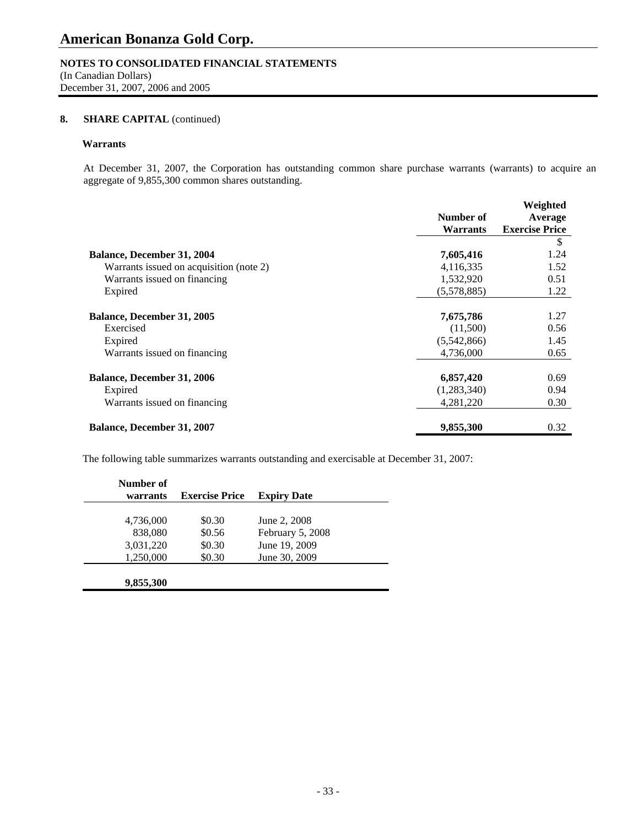### **NOTES TO CONSOLIDATED FINANCIAL STATEMENTS**

(In Canadian Dollars) December 31, 2007, 2006 and 2005

### 8. **SHARE CAPITAL** (continued)

### **Warrants**

 At December 31, 2007, the Corporation has outstanding common share purchase warrants (warrants) to acquire an aggregate of 9,855,300 common shares outstanding.

|                                         |                 | Weighted              |
|-----------------------------------------|-----------------|-----------------------|
|                                         | Number of       | Average               |
|                                         | <b>Warrants</b> | <b>Exercise Price</b> |
|                                         |                 | \$                    |
| <b>Balance, December 31, 2004</b>       | 7,605,416       | 1.24                  |
| Warrants issued on acquisition (note 2) | 4,116,335       | 1.52                  |
| Warrants issued on financing            | 1,532,920       | 0.51                  |
| Expired                                 | (5.578.885)     | 1.22                  |
| Balance, December 31, 2005              | 7,675,786       | 1.27                  |
| Exercised                               | (11,500)        | 0.56                  |
| Expired                                 | (5,542,866)     | 1.45                  |
| Warrants issued on financing            | 4,736,000       | 0.65                  |
| Balance, December 31, 2006              | 6,857,420       | 0.69                  |
| Expired                                 | (1,283,340)     | 0.94                  |
| Warrants issued on financing            | 4,281,220       | 0.30                  |
| <b>Balance, December 31, 2007</b>       | 9,855,300       | 0.32                  |

The following table summarizes warrants outstanding and exercisable at December 31, 2007:

| Number of<br>warrants | <b>Exercise Price</b> | <b>Expiry Date</b> |  |
|-----------------------|-----------------------|--------------------|--|
|                       |                       |                    |  |
| 4,736,000             | \$0.30                | June 2, 2008       |  |
| 838,080               | \$0.56                | February 5, 2008   |  |
| 3,031,220             | \$0.30                | June 19, 2009      |  |
| 1,250,000             | \$0.30                | June 30, 2009      |  |
|                       |                       |                    |  |
| 9,855,300             |                       |                    |  |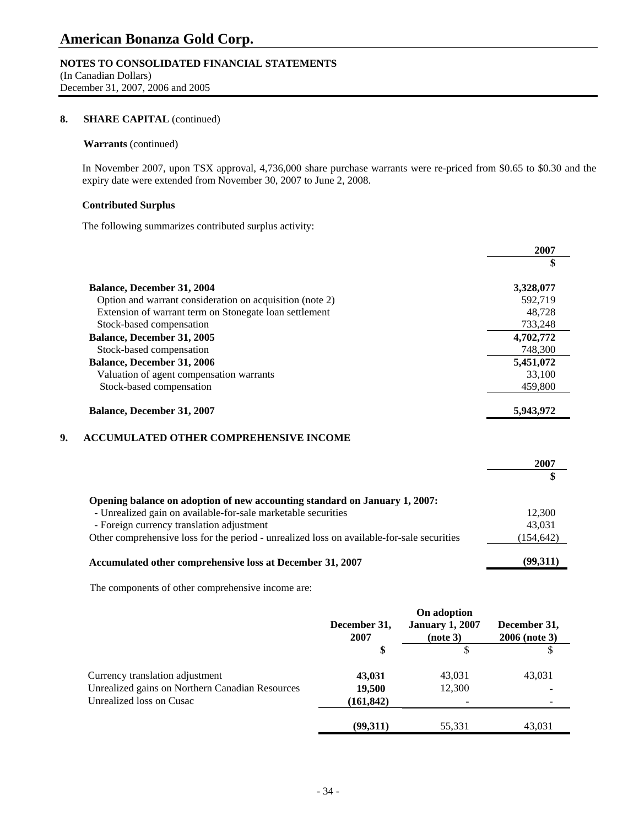### **NOTES TO CONSOLIDATED FINANCIAL STATEMENTS**

(In Canadian Dollars) December 31, 2007, 2006 and 2005

### 8. **SHARE CAPITAL** (continued)

### **Warrants** (continued)

In November 2007, upon TSX approval, 4,736,000 share purchase warrants were re-priced from \$0.65 to \$0.30 and the expiry date were extended from November 30, 2007 to June 2, 2008.

### **Contributed Surplus**

The following summarizes contributed surplus activity:

|                                                          | 2007      |
|----------------------------------------------------------|-----------|
|                                                          | \$        |
| <b>Balance, December 31, 2004</b>                        | 3,328,077 |
| Option and warrant consideration on acquisition (note 2) | 592.719   |
| Extension of warrant term on Stonegate Ioan settlement   | 48.728    |
| Stock-based compensation                                 | 733,248   |
| <b>Balance, December 31, 2005</b>                        | 4,702,772 |
| Stock-based compensation                                 | 748,300   |
| <b>Balance, December 31, 2006</b>                        | 5,451,072 |
| Valuation of agent compensation warrants                 | 33,100    |
| Stock-based compensation                                 | 459,800   |
| <b>Balance, December 31, 2007</b>                        | 5,943,972 |

### **9. ACCUMULATED OTHER COMPREHENSIVE INCOME**

|                                                                                            | 2007       |
|--------------------------------------------------------------------------------------------|------------|
|                                                                                            |            |
| Opening balance on adoption of new accounting standard on January 1, 2007:                 |            |
| - Unrealized gain on available-for-sale marketable securities                              | 12,300     |
| - Foreign currency translation adjustment                                                  | 43,031     |
| Other comprehensive loss for the period - unrealized loss on available-for-sale securities | (154, 642) |
| Accumulated other comprehensive loss at December 31, 2007                                  | (99,311)   |

The components of other comprehensive income are:

|                                                 | On adoption          |                                    |                               |
|-------------------------------------------------|----------------------|------------------------------------|-------------------------------|
|                                                 | December 31,<br>2007 | <b>January 1, 2007</b><br>(note 3) | December 31,<br>2006 (note 3) |
|                                                 | \$                   |                                    |                               |
| Currency translation adjustment                 | 43,031               | 43,031                             | 43,031                        |
| Unrealized gains on Northern Canadian Resources | 19,500               | 12,300                             |                               |
| Unrealized loss on Cusac                        | (161, 842)           | ٠                                  |                               |
|                                                 | (99.311)             | 55,331                             | 43.031                        |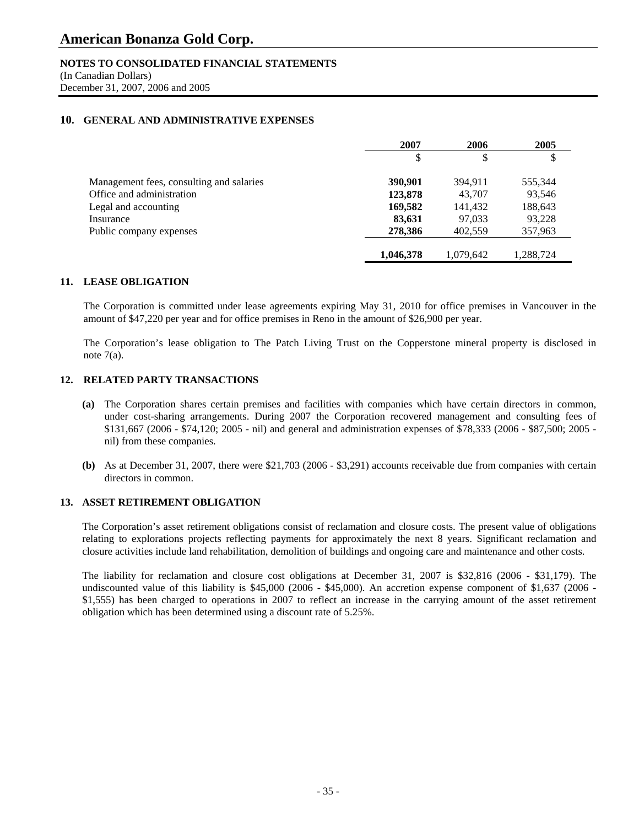### **NOTES TO CONSOLIDATED FINANCIAL STATEMENTS**

(In Canadian Dollars) December 31, 2007, 2006 and 2005

### **10. GENERAL AND ADMINISTRATIVE EXPENSES**

|                                          | 2007      | 2006      | 2005      |
|------------------------------------------|-----------|-----------|-----------|
|                                          |           | \$        | \$        |
| Management fees, consulting and salaries | 390,901   | 394.911   | 555,344   |
| Office and administration                | 123,878   | 43,707    | 93,546    |
| Legal and accounting                     | 169,582   | 141,432   | 188,643   |
| Insurance                                | 83,631    | 97,033    | 93,228    |
| Public company expenses                  | 278,386   | 402,559   | 357,963   |
|                                          | 1,046,378 | 1,079,642 | 1,288,724 |

### **11. LEASE OBLIGATION**

The Corporation is committed under lease agreements expiring May 31, 2010 for office premises in Vancouver in the amount of \$47,220 per year and for office premises in Reno in the amount of \$26,900 per year.

The Corporation's lease obligation to The Patch Living Trust on the Copperstone mineral property is disclosed in note  $7(a)$ .

### **12. RELATED PARTY TRANSACTIONS**

- **(a)** The Corporation shares certain premises and facilities with companies which have certain directors in common, under cost-sharing arrangements. During 2007 the Corporation recovered management and consulting fees of \$131,667 (2006 - \$74,120; 2005 - nil) and general and administration expenses of \$78,333 (2006 - \$87,500; 2005 nil) from these companies.
- **(b)** As at December 31, 2007, there were \$21,703 (2006 \$3,291) accounts receivable due from companies with certain directors in common.

### **13. ASSET RETIREMENT OBLIGATION**

The Corporation's asset retirement obligations consist of reclamation and closure costs. The present value of obligations relating to explorations projects reflecting payments for approximately the next 8 years. Significant reclamation and closure activities include land rehabilitation, demolition of buildings and ongoing care and maintenance and other costs.

The liability for reclamation and closure cost obligations at December 31, 2007 is \$32,816 (2006 - \$31,179). The undiscounted value of this liability is \$45,000 (2006 - \$45,000). An accretion expense component of \$1,637 (2006 - \$1,555) has been charged to operations in 2007 to reflect an increase in the carrying amount of the asset retirement obligation which has been determined using a discount rate of 5.25%.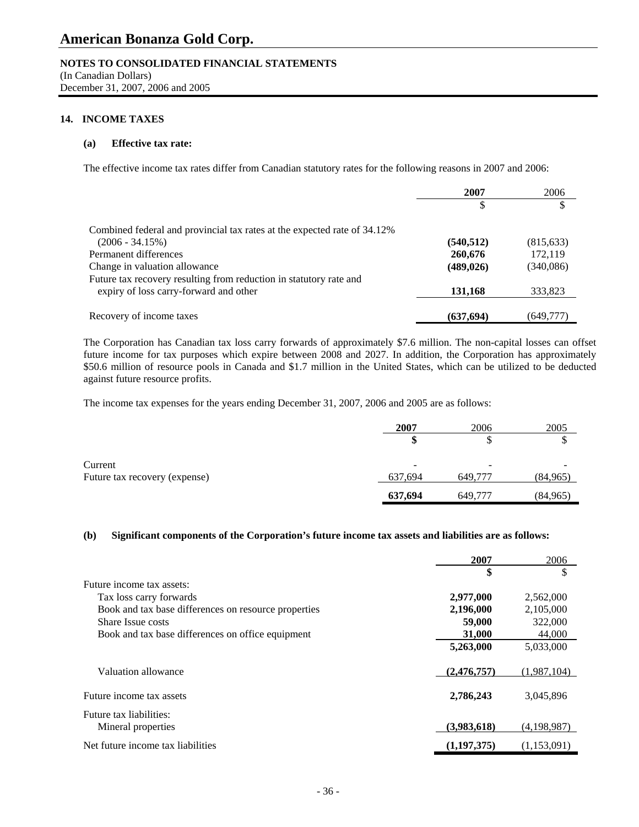### **NOTES TO CONSOLIDATED FINANCIAL STATEMENTS**

(In Canadian Dollars) December 31, 2007, 2006 and 2005

### **14. INCOME TAXES**

### **(a) Effective tax rate:**

The effective income tax rates differ from Canadian statutory rates for the following reasons in 2007 and 2006:

|                                                                          | 2007       | 2006       |
|--------------------------------------------------------------------------|------------|------------|
|                                                                          | \$         |            |
| Combined federal and provincial tax rates at the expected rate of 34.12% |            |            |
| $(2006 - 34.15%)$                                                        | (540, 512) | (815, 633) |
| Permanent differences                                                    | 260,676    | 172,119    |
| Change in valuation allowance                                            | (489, 026) | (340,086)  |
| Future tax recovery resulting from reduction in statutory rate and       |            |            |
| expiry of loss carry-forward and other                                   | 131,168    | 333,823    |
| Recovery of income taxes                                                 | (637, 694) | (649,777)  |

The Corporation has Canadian tax loss carry forwards of approximately \$7.6 million. The non-capital losses can offset future income for tax purposes which expire between 2008 and 2027. In addition, the Corporation has approximately \$50.6 million of resource pools in Canada and \$1.7 million in the United States, which can be utilized to be deducted against future resource profits.

The income tax expenses for the years ending December 31, 2007, 2006 and 2005 are as follows:

|                               | 2007    | 2006    | 2005     |
|-------------------------------|---------|---------|----------|
|                               | æ       | J       | ۰D       |
| Current                       | -       |         |          |
| Future tax recovery (expense) | 637,694 | 649,777 | (84,965) |
|                               | 637,694 | 649,777 | (84,965) |

### **(b) Significant components of the Corporation's future income tax assets and liabilities are as follows:**

|                                                      | 2007        | 2006        |
|------------------------------------------------------|-------------|-------------|
|                                                      | \$          | \$          |
| Future income tax assets:                            |             |             |
| Tax loss carry forwards                              | 2,977,000   | 2,562,000   |
| Book and tax base differences on resource properties | 2,196,000   | 2,105,000   |
| Share Issue costs                                    | 59,000      | 322,000     |
| Book and tax base differences on office equipment    | 31,000      | 44,000      |
|                                                      | 5,263,000   | 5,033,000   |
| Valuation allowance                                  | (2,476,757) | (1,987,104) |
| Future income tax assets                             | 2,786,243   | 3,045,896   |
| Future tax liabilities:                              |             |             |
| Mineral properties                                   | (3,983,618) | (4,198,987) |
| Net future income tax liabilities                    | (1.197.375) | (1.153.091) |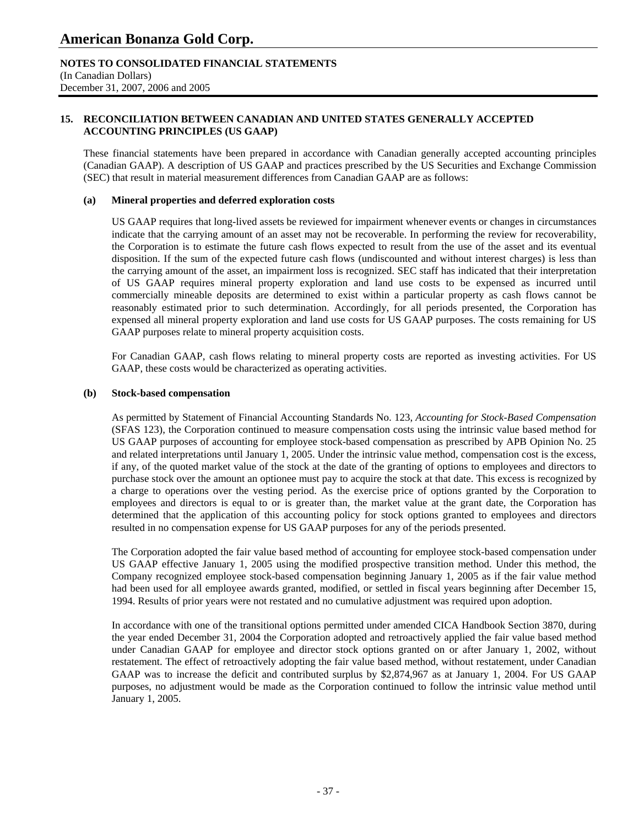### **NOTES TO CONSOLIDATED FINANCIAL STATEMENTS**

(In Canadian Dollars) December 31, 2007, 2006 and 2005

### **15. RECONCILIATION BETWEEN CANADIAN AND UNITED STATES GENERALLY ACCEPTED ACCOUNTING PRINCIPLES (US GAAP)**

These financial statements have been prepared in accordance with Canadian generally accepted accounting principles (Canadian GAAP). A description of US GAAP and practices prescribed by the US Securities and Exchange Commission (SEC) that result in material measurement differences from Canadian GAAP are as follows:

### **(a) Mineral properties and deferred exploration costs**

US GAAP requires that long-lived assets be reviewed for impairment whenever events or changes in circumstances indicate that the carrying amount of an asset may not be recoverable. In performing the review for recoverability, the Corporation is to estimate the future cash flows expected to result from the use of the asset and its eventual disposition. If the sum of the expected future cash flows (undiscounted and without interest charges) is less than the carrying amount of the asset, an impairment loss is recognized. SEC staff has indicated that their interpretation of US GAAP requires mineral property exploration and land use costs to be expensed as incurred until commercially mineable deposits are determined to exist within a particular property as cash flows cannot be reasonably estimated prior to such determination. Accordingly, for all periods presented, the Corporation has expensed all mineral property exploration and land use costs for US GAAP purposes. The costs remaining for US GAAP purposes relate to mineral property acquisition costs.

For Canadian GAAP, cash flows relating to mineral property costs are reported as investing activities. For US GAAP, these costs would be characterized as operating activities.

### **(b) Stock-based compensation**

As permitted by Statement of Financial Accounting Standards No. 123, *Accounting for Stock-Based Compensation*  (SFAS 123), the Corporation continued to measure compensation costs using the intrinsic value based method for US GAAP purposes of accounting for employee stock-based compensation as prescribed by APB Opinion No. 25 and related interpretations until January 1, 2005. Under the intrinsic value method, compensation cost is the excess, if any, of the quoted market value of the stock at the date of the granting of options to employees and directors to purchase stock over the amount an optionee must pay to acquire the stock at that date. This excess is recognized by a charge to operations over the vesting period. As the exercise price of options granted by the Corporation to employees and directors is equal to or is greater than, the market value at the grant date, the Corporation has determined that the application of this accounting policy for stock options granted to employees and directors resulted in no compensation expense for US GAAP purposes for any of the periods presented.

The Corporation adopted the fair value based method of accounting for employee stock-based compensation under US GAAP effective January 1, 2005 using the modified prospective transition method. Under this method, the Company recognized employee stock-based compensation beginning January 1, 2005 as if the fair value method had been used for all employee awards granted, modified, or settled in fiscal years beginning after December 15, 1994. Results of prior years were not restated and no cumulative adjustment was required upon adoption.

In accordance with one of the transitional options permitted under amended CICA Handbook Section 3870, during the year ended December 31, 2004 the Corporation adopted and retroactively applied the fair value based method under Canadian GAAP for employee and director stock options granted on or after January 1, 2002, without restatement. The effect of retroactively adopting the fair value based method, without restatement, under Canadian GAAP was to increase the deficit and contributed surplus by \$2,874,967 as at January 1, 2004. For US GAAP purposes, no adjustment would be made as the Corporation continued to follow the intrinsic value method until January 1, 2005.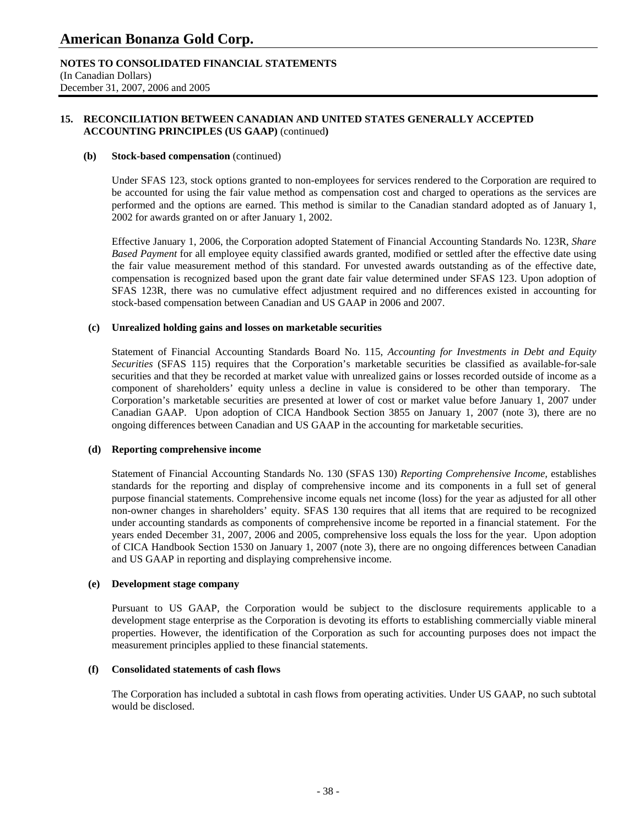### **NOTES TO CONSOLIDATED FINANCIAL STATEMENTS**

(In Canadian Dollars) December 31, 2007, 2006 and 2005

### **15. RECONCILIATION BETWEEN CANADIAN AND UNITED STATES GENERALLY ACCEPTED ACCOUNTING PRINCIPLES (US GAAP)** (continued**)**

### **(b) Stock-based compensation** (continued)

Under SFAS 123, stock options granted to non-employees for services rendered to the Corporation are required to be accounted for using the fair value method as compensation cost and charged to operations as the services are performed and the options are earned. This method is similar to the Canadian standard adopted as of January 1, 2002 for awards granted on or after January 1, 2002.

Effective January 1, 2006, the Corporation adopted Statement of Financial Accounting Standards No. 123R, *Share Based Payment* for all employee equity classified awards granted, modified or settled after the effective date using the fair value measurement method of this standard. For unvested awards outstanding as of the effective date, compensation is recognized based upon the grant date fair value determined under SFAS 123. Upon adoption of SFAS 123R, there was no cumulative effect adjustment required and no differences existed in accounting for stock-based compensation between Canadian and US GAAP in 2006 and 2007.

### **(c) Unrealized holding gains and losses on marketable securities**

Statement of Financial Accounting Standards Board No. 115, *Accounting for Investments in Debt and Equity Securities* (SFAS 115) requires that the Corporation's marketable securities be classified as available-for-sale securities and that they be recorded at market value with unrealized gains or losses recorded outside of income as a component of shareholders' equity unless a decline in value is considered to be other than temporary. The Corporation's marketable securities are presented at lower of cost or market value before January 1, 2007 under Canadian GAAP. Upon adoption of CICA Handbook Section 3855 on January 1, 2007 (note 3), there are no ongoing differences between Canadian and US GAAP in the accounting for marketable securities.

### **(d) Reporting comprehensive income**

Statement of Financial Accounting Standards No. 130 (SFAS 130) *Reporting Comprehensive Income,* establishes standards for the reporting and display of comprehensive income and its components in a full set of general purpose financial statements. Comprehensive income equals net income (loss) for the year as adjusted for all other non-owner changes in shareholders' equity. SFAS 130 requires that all items that are required to be recognized under accounting standards as components of comprehensive income be reported in a financial statement. For the years ended December 31, 2007, 2006 and 2005, comprehensive loss equals the loss for the year. Upon adoption of CICA Handbook Section 1530 on January 1, 2007 (note 3), there are no ongoing differences between Canadian and US GAAP in reporting and displaying comprehensive income.

### **(e) Development stage company**

 Pursuant to US GAAP, the Corporation would be subject to the disclosure requirements applicable to a development stage enterprise as the Corporation is devoting its efforts to establishing commercially viable mineral properties. However, the identification of the Corporation as such for accounting purposes does not impact the measurement principles applied to these financial statements.

### **(f) Consolidated statements of cash flows**

 The Corporation has included a subtotal in cash flows from operating activities. Under US GAAP, no such subtotal would be disclosed.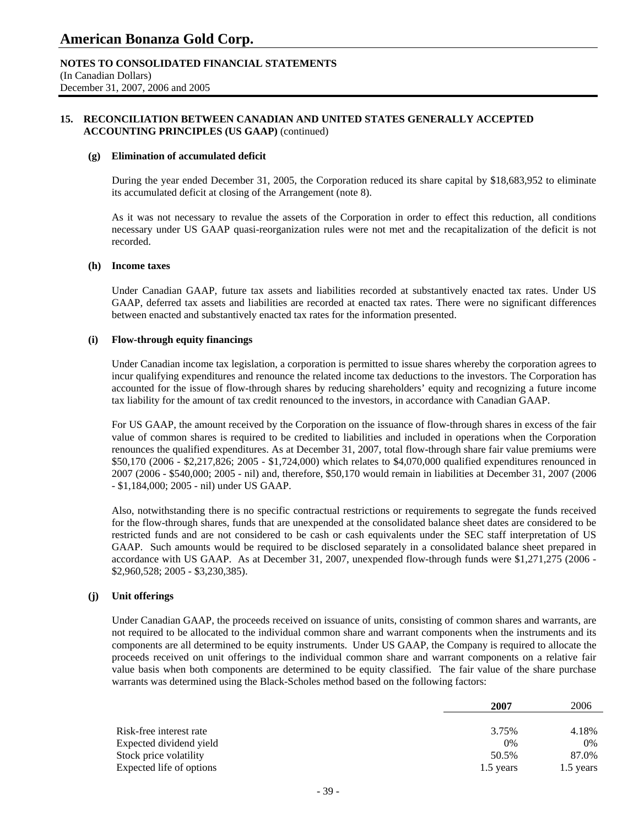### **NOTES TO CONSOLIDATED FINANCIAL STATEMENTS**

(In Canadian Dollars) December 31, 2007, 2006 and 2005

### **15. RECONCILIATION BETWEEN CANADIAN AND UNITED STATES GENERALLY ACCEPTED ACCOUNTING PRINCIPLES (US GAAP)** (continued)

#### **(g) Elimination of accumulated deficit**

During the year ended December 31, 2005, the Corporation reduced its share capital by \$18,683,952 to eliminate its accumulated deficit at closing of the Arrangement (note 8).

 As it was not necessary to revalue the assets of the Corporation in order to effect this reduction, all conditions necessary under US GAAP quasi-reorganization rules were not met and the recapitalization of the deficit is not recorded.

#### **(h) Income taxes**

 Under Canadian GAAP, future tax assets and liabilities recorded at substantively enacted tax rates. Under US GAAP, deferred tax assets and liabilities are recorded at enacted tax rates. There were no significant differences between enacted and substantively enacted tax rates for the information presented.

### **(i) Flow-through equity financings**

 Under Canadian income tax legislation, a corporation is permitted to issue shares whereby the corporation agrees to incur qualifying expenditures and renounce the related income tax deductions to the investors. The Corporation has accounted for the issue of flow-through shares by reducing shareholders' equity and recognizing a future income tax liability for the amount of tax credit renounced to the investors, in accordance with Canadian GAAP.

 For US GAAP, the amount received by the Corporation on the issuance of flow-through shares in excess of the fair value of common shares is required to be credited to liabilities and included in operations when the Corporation renounces the qualified expenditures. As at December 31, 2007, total flow-through share fair value premiums were \$50,170 (2006 - \$2,217,826; 2005 - \$1,724,000) which relates to \$4,070,000 qualified expenditures renounced in 2007 (2006 - \$540,000; 2005 - nil) and, therefore, \$50,170 would remain in liabilities at December 31, 2007 (2006 - \$1,184,000; 2005 - nil) under US GAAP.

 Also, notwithstanding there is no specific contractual restrictions or requirements to segregate the funds received for the flow-through shares, funds that are unexpended at the consolidated balance sheet dates are considered to be restricted funds and are not considered to be cash or cash equivalents under the SEC staff interpretation of US GAAP. Such amounts would be required to be disclosed separately in a consolidated balance sheet prepared in accordance with US GAAP. As at December 31, 2007, unexpended flow-through funds were \$1,271,275 (2006 - \$2,960,528; 2005 - \$3,230,385).

### **(j) Unit offerings**

Under Canadian GAAP, the proceeds received on issuance of units, consisting of common shares and warrants, are not required to be allocated to the individual common share and warrant components when the instruments and its components are all determined to be equity instruments. Under US GAAP, the Company is required to allocate the proceeds received on unit offerings to the individual common share and warrant components on a relative fair value basis when both components are determined to be equity classified. The fair value of the share purchase warrants was determined using the Black-Scholes method based on the following factors:

|                          | 2007      | 2006      |
|--------------------------|-----------|-----------|
|                          |           |           |
| Risk-free interest rate  | 3.75%     | 4.18%     |
| Expected dividend yield  | 0%        | $0\%$     |
| Stock price volatility   | 50.5%     | 87.0%     |
| Expected life of options | 1.5 years | 1.5 years |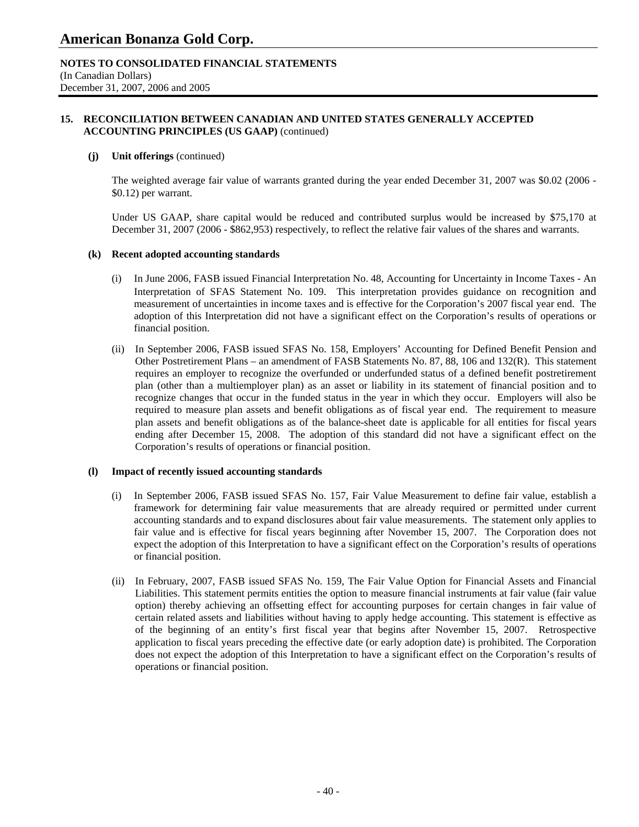### **NOTES TO CONSOLIDATED FINANCIAL STATEMENTS**

(In Canadian Dollars) December 31, 2007, 2006 and 2005

### **15. RECONCILIATION BETWEEN CANADIAN AND UNITED STATES GENERALLY ACCEPTED ACCOUNTING PRINCIPLES (US GAAP)** (continued)

### **(j) Unit offerings** (continued)

The weighted average fair value of warrants granted during the year ended December 31, 2007 was \$0.02 (2006 - \$0.12) per warrant.

Under US GAAP, share capital would be reduced and contributed surplus would be increased by \$75,170 at December 31, 2007 (2006 - \$862,953) respectively, to reflect the relative fair values of the shares and warrants.

### **(k) Recent adopted accounting standards**

- (i) In June 2006, FASB issued Financial Interpretation No. 48, Accounting for Uncertainty in Income Taxes An Interpretation of SFAS Statement No. 109. This interpretation provides guidance on recognition and measurement of uncertainties in income taxes and is effective for the Corporation's 2007 fiscal year end. The adoption of this Interpretation did not have a significant effect on the Corporation's results of operations or financial position.
- (ii) In September 2006, FASB issued SFAS No. 158, Employers' Accounting for Defined Benefit Pension and Other Postretirement Plans – an amendment of FASB Statements No. 87, 88, 106 and 132(R). This statement requires an employer to recognize the overfunded or underfunded status of a defined benefit postretirement plan (other than a multiemployer plan) as an asset or liability in its statement of financial position and to recognize changes that occur in the funded status in the year in which they occur. Employers will also be required to measure plan assets and benefit obligations as of fiscal year end. The requirement to measure plan assets and benefit obligations as of the balance-sheet date is applicable for all entities for fiscal years ending after December 15, 2008. The adoption of this standard did not have a significant effect on the Corporation's results of operations or financial position.

### **(l) Impact of recently issued accounting standards**

- (i) In September 2006, FASB issued SFAS No. 157, Fair Value Measurement to define fair value, establish a framework for determining fair value measurements that are already required or permitted under current accounting standards and to expand disclosures about fair value measurements. The statement only applies to fair value and is effective for fiscal years beginning after November 15, 2007. The Corporation does not expect the adoption of this Interpretation to have a significant effect on the Corporation's results of operations or financial position.
- (ii) In February, 2007, FASB issued SFAS No. 159, The Fair Value Option for Financial Assets and Financial Liabilities. This statement permits entities the option to measure financial instruments at fair value (fair value option) thereby achieving an offsetting effect for accounting purposes for certain changes in fair value of certain related assets and liabilities without having to apply hedge accounting. This statement is effective as of the beginning of an entity's first fiscal year that begins after November 15, 2007. Retrospective application to fiscal years preceding the effective date (or early adoption date) is prohibited. The Corporation does not expect the adoption of this Interpretation to have a significant effect on the Corporation's results of operations or financial position.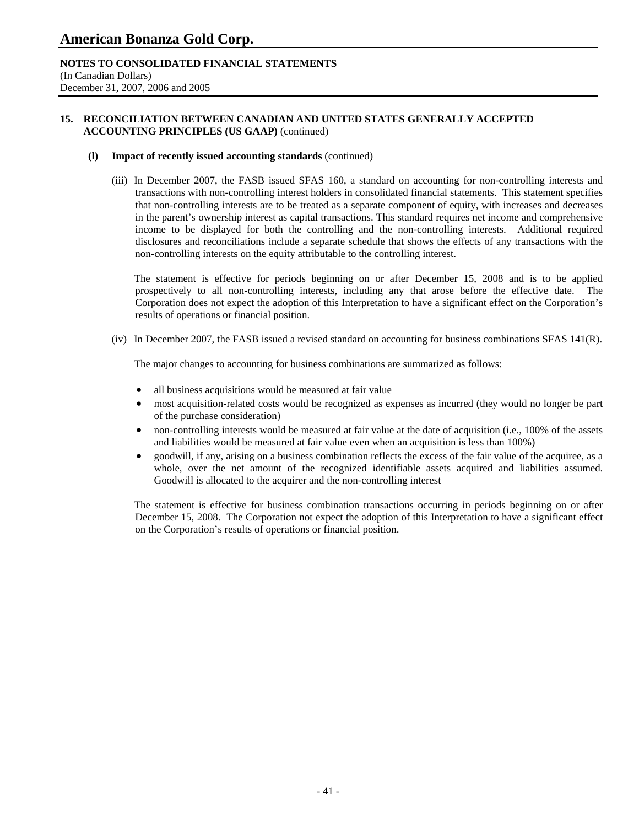### **NOTES TO CONSOLIDATED FINANCIAL STATEMENTS**

(In Canadian Dollars) December 31, 2007, 2006 and 2005

### **15. RECONCILIATION BETWEEN CANADIAN AND UNITED STATES GENERALLY ACCEPTED ACCOUNTING PRINCIPLES (US GAAP)** (continued)

### **(l) Impact of recently issued accounting standards** (continued)

(iii) In December 2007, the FASB issued SFAS 160, a standard on accounting for non-controlling interests and transactions with non-controlling interest holders in consolidated financial statements. This statement specifies that non-controlling interests are to be treated as a separate component of equity, with increases and decreases in the parent's ownership interest as capital transactions. This standard requires net income and comprehensive income to be displayed for both the controlling and the non-controlling interests. Additional required disclosures and reconciliations include a separate schedule that shows the effects of any transactions with the non-controlling interests on the equity attributable to the controlling interest.

 The statement is effective for periods beginning on or after December 15, 2008 and is to be applied prospectively to all non-controlling interests, including any that arose before the effective date. The Corporation does not expect the adoption of this Interpretation to have a significant effect on the Corporation's results of operations or financial position.

(iv) In December 2007, the FASB issued a revised standard on accounting for business combinations SFAS 141(R).

The major changes to accounting for business combinations are summarized as follows:

- all business acquisitions would be measured at fair value
- most acquisition-related costs would be recognized as expenses as incurred (they would no longer be part of the purchase consideration)
- non-controlling interests would be measured at fair value at the date of acquisition (i.e., 100% of the assets and liabilities would be measured at fair value even when an acquisition is less than 100%)
- goodwill, if any, arising on a business combination reflects the excess of the fair value of the acquiree, as a whole, over the net amount of the recognized identifiable assets acquired and liabilities assumed. Goodwill is allocated to the acquirer and the non-controlling interest

 The statement is effective for business combination transactions occurring in periods beginning on or after December 15, 2008. The Corporation not expect the adoption of this Interpretation to have a significant effect on the Corporation's results of operations or financial position.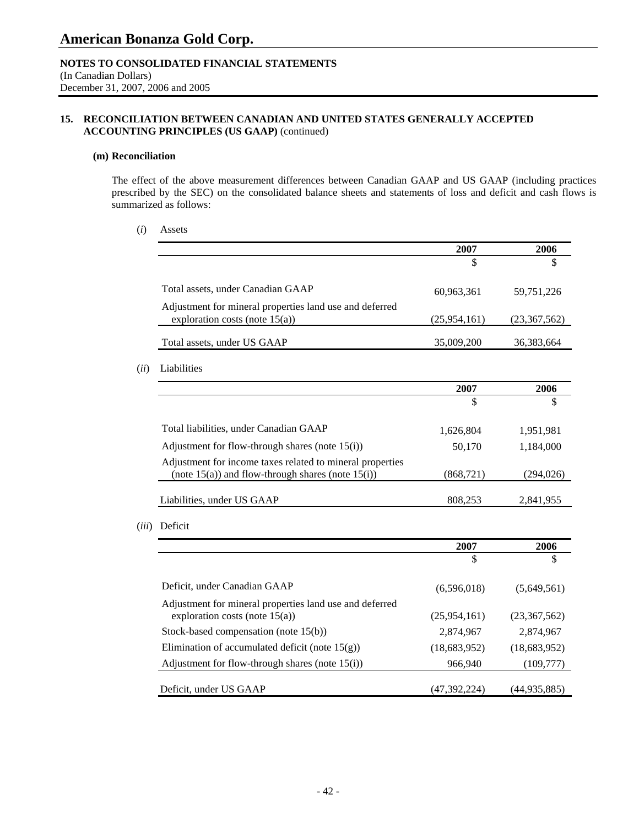### **NOTES TO CONSOLIDATED FINANCIAL STATEMENTS**

(In Canadian Dollars) December 31, 2007, 2006 and 2005

### **15. RECONCILIATION BETWEEN CANADIAN AND UNITED STATES GENERALLY ACCEPTED ACCOUNTING PRINCIPLES (US GAAP)** (continued)

### **(m) Reconciliation**

 The effect of the above measurement differences between Canadian GAAP and US GAAP (including practices prescribed by the SEC) on the consolidated balance sheets and statements of loss and deficit and cash flows is summarized as follows:

### (*i*) Assets

|                                                                                                                      | 2007           | 2006         |
|----------------------------------------------------------------------------------------------------------------------|----------------|--------------|
|                                                                                                                      | \$             | \$           |
| Total assets, under Canadian GAAP                                                                                    | 60,963,361     | 59,751,226   |
| Adjustment for mineral properties land use and deferred<br>exploration costs (note $15(a)$ )                         | (25, 954, 161) | (23,367,562) |
| Total assets, under US GAAP                                                                                          | 35,009,200     | 36,383,664   |
| Liabilities                                                                                                          |                |              |
|                                                                                                                      |                |              |
|                                                                                                                      | 2007           | 2006         |
|                                                                                                                      | \$             | \$           |
| Total liabilities, under Canadian GAAP                                                                               | 1,626,804      | 1,951,981    |
| Adjustment for flow-through shares (note $15(i)$ )                                                                   | 50,170         | 1,184,000    |
| Adjustment for income taxes related to mineral properties<br>(note $15(a)$ ) and flow-through shares (note $15(i)$ ) | (868, 721)     | (294, 026)   |

(*iii*) Deficit

|                                                                                              | 2007         | 2006         |
|----------------------------------------------------------------------------------------------|--------------|--------------|
|                                                                                              | \$           | \$           |
| Deficit, under Canadian GAAP                                                                 | (6,596,018)  | (5,649,561)  |
| Adjustment for mineral properties land use and deferred<br>exploration costs (note $15(a)$ ) | (25,954,161) | (23,367,562) |
| Stock-based compensation (note $15(b)$ )                                                     | 2,874,967    | 2,874,967    |
| Elimination of accumulated deficit (note $15(g)$ )                                           | (18,683,952) | (18,683,952) |
| Adjustment for flow-through shares (note $15(i)$ )                                           | 966,940      | (109,777)    |
| Deficit, under US GAAP                                                                       | (47,392,224) | (44,935,885) |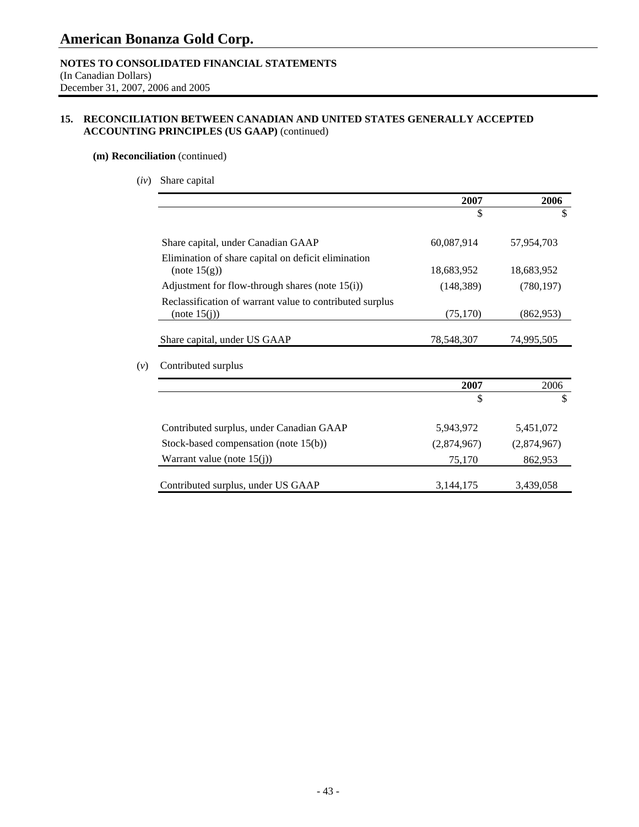### **NOTES TO CONSOLIDATED FINANCIAL STATEMENTS**

(In Canadian Dollars) December 31, 2007, 2006 and 2005

### **15. RECONCILIATION BETWEEN CANADIAN AND UNITED STATES GENERALLY ACCEPTED ACCOUNTING PRINCIPLES (US GAAP)** (continued)

### **(m) Reconciliation** (continued)

(*iv*) Share capital

| 2007        | 2006        |
|-------------|-------------|
|             | \$          |
| 60,087,914  | 57,954,703  |
|             |             |
| 18,683,952  | 18,683,952  |
| (148, 389)  | (780, 197)  |
| (75,170)    | (862, 953)  |
| 78,548,307  | 74,995,505  |
|             |             |
| 2007        | 2006        |
| \$          | \$          |
| 5,943,972   | 5,451,072   |
| (2,874,967) | (2,874,967) |
|             |             |
| 75,170      | 862,953     |
|             |             |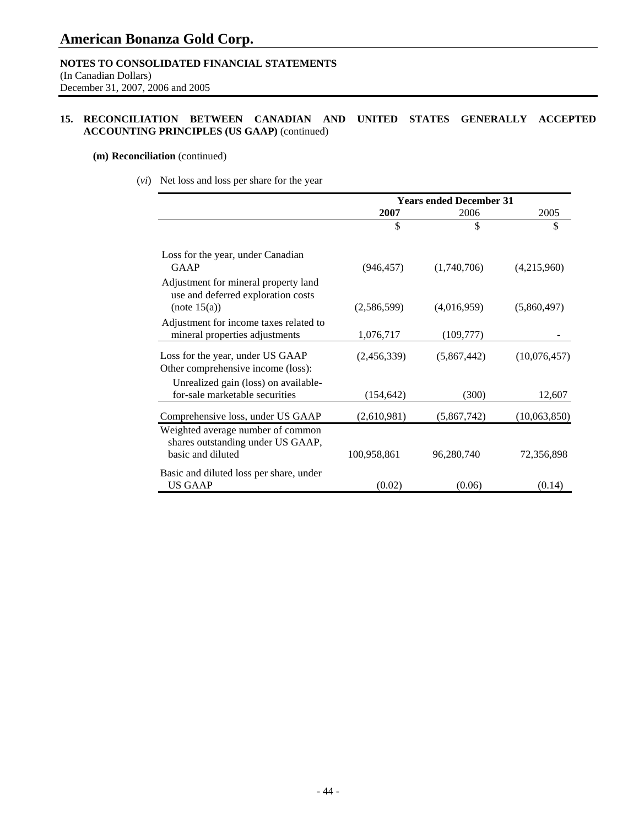### **NOTES TO CONSOLIDATED FINANCIAL STATEMENTS**

(In Canadian Dollars) December 31, 2007, 2006 and 2005

### **15. RECONCILIATION BETWEEN CANADIAN AND UNITED STATES GENERALLY ACCEPTED ACCOUNTING PRINCIPLES (US GAAP)** (continued)

### **(m) Reconciliation** (continued)

(*vi*) Net loss and loss per share for the year

|                                                                                             | <b>Years ended December 31</b> |             |              |
|---------------------------------------------------------------------------------------------|--------------------------------|-------------|--------------|
|                                                                                             | 2007                           | 2006        | 2005         |
|                                                                                             | \$                             | \$          | \$           |
| Loss for the year, under Canadian                                                           |                                |             |              |
| GAAP                                                                                        | (946, 457)                     | (1,740,706) | (4,215,960)  |
| Adjustment for mineral property land<br>use and deferred exploration costs                  |                                |             |              |
| (note 15(a))                                                                                | (2,586,599)                    | (4,016,959) | (5,860,497)  |
| Adjustment for income taxes related to<br>mineral properties adjustments                    | 1,076,717                      | (109, 777)  |              |
| Loss for the year, under US GAAP<br>Other comprehensive income (loss):                      | (2,456,339)                    | (5,867,442) | (10,076,457) |
|                                                                                             |                                |             |              |
| Unrealized gain (loss) on available-<br>for-sale marketable securities                      | (154,642)                      | (300)       | 12,607       |
| Comprehensive loss, under US GAAP                                                           | (2,610,981)                    | (5,867,742) | (10,063,850) |
| Weighted average number of common<br>shares outstanding under US GAAP,<br>basic and diluted |                                |             |              |
|                                                                                             | 100,958,861                    | 96,280,740  | 72,356,898   |
| Basic and diluted loss per share, under<br><b>US GAAP</b>                                   |                                |             |              |
|                                                                                             | (0.02)                         | (0.06)      | (0.14)       |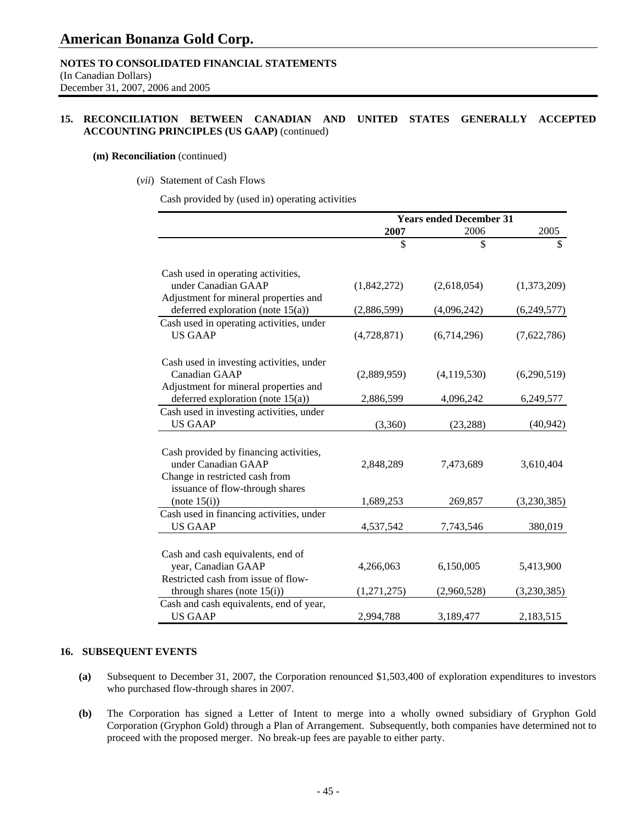### **NOTES TO CONSOLIDATED FINANCIAL STATEMENTS**

(In Canadian Dollars) December 31, 2007, 2006 and 2005

### **15. RECONCILIATION BETWEEN CANADIAN AND UNITED STATES GENERALLY ACCEPTED ACCOUNTING PRINCIPLES (US GAAP)** (continued)

### **(m) Reconciliation** (continued)

### (*vii*) Statement of Cash Flows

Cash provided by (used in) operating activities

|                                          | <b>Years ended December 31</b> |             |             |
|------------------------------------------|--------------------------------|-------------|-------------|
|                                          | 2007                           | 2006        | 2005        |
|                                          | \$                             | \$          | \$          |
| Cash used in operating activities,       |                                |             |             |
| under Canadian GAAP                      | (1,842,272)                    | (2,618,054) | (1,373,209) |
| Adjustment for mineral properties and    |                                |             |             |
| deferred exploration (note $15(a)$ )     | (2,886,599)                    | (4,096,242) | (6,249,577) |
| Cash used in operating activities, under |                                |             |             |
| <b>US GAAP</b>                           | (4,728,871)                    | (6,714,296) | (7,622,786) |
|                                          |                                |             |             |
| Cash used in investing activities, under |                                |             |             |
| Canadian GAAP                            | (2,889,959)                    | (4,119,530) | (6,290,519) |
| Adjustment for mineral properties and    |                                |             |             |
| deferred exploration (note $15(a)$ )     | 2,886,599                      | 4,096,242   | 6,249,577   |
| Cash used in investing activities, under |                                |             |             |
| <b>US GAAP</b>                           | (3,360)                        | (23, 288)   | (40, 942)   |
|                                          |                                |             |             |
| Cash provided by financing activities,   |                                |             |             |
| under Canadian GAAP                      | 2,848,289                      | 7,473,689   | 3,610,404   |
| Change in restricted cash from           |                                |             |             |
| issuance of flow-through shares          |                                |             |             |
| (note 15(i))                             | 1,689,253                      | 269,857     | (3,230,385) |
| Cash used in financing activities, under |                                |             |             |
| <b>US GAAP</b>                           | 4,537,542                      | 7,743,546   | 380,019     |
|                                          |                                |             |             |
| Cash and cash equivalents, end of        |                                |             |             |
| year, Canadian GAAP                      | 4,266,063                      | 6,150,005   | 5,413,900   |
| Restricted cash from issue of flow-      |                                |             |             |
| through shares (note $15(i)$ )           | (1,271,275)                    | (2,960,528) | (3,230,385) |
| Cash and cash equivalents, end of year,  |                                |             |             |
| <b>US GAAP</b>                           | 2,994,788                      | 3,189,477   | 2,183,515   |

### **16. SUBSEQUENT EVENTS**

- **(a)** Subsequent to December 31, 2007, the Corporation renounced \$1,503,400 of exploration expenditures to investors who purchased flow-through shares in 2007.
- **(b)** The Corporation has signed a Letter of Intent to merge into a wholly owned subsidiary of Gryphon Gold Corporation (Gryphon Gold) through a Plan of Arrangement. Subsequently, both companies have determined not to proceed with the proposed merger. No break-up fees are payable to either party.